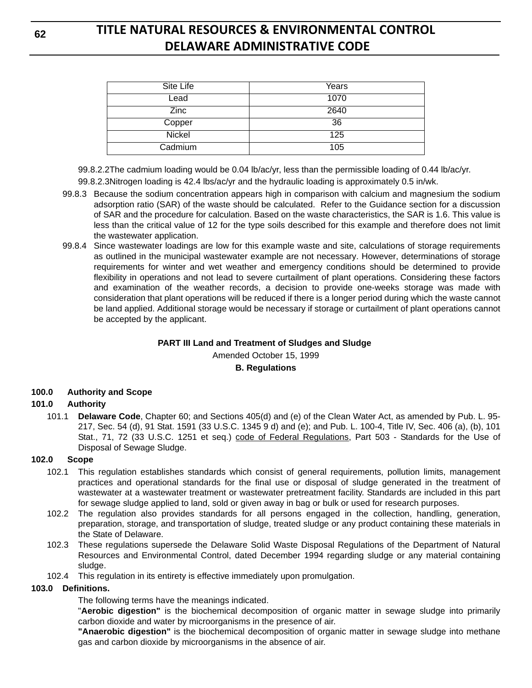| Site Life     | Years |
|---------------|-------|
| Lead          | 1070  |
| <b>Zinc</b>   | 2640  |
| Copper        | 36    |
| <b>Nickel</b> | 125   |
| Cadmium       | 105   |

99.8.2.2The cadmium loading would be 0.04 lb/ac/yr, less than the permissible loading of 0.44 lb/ac/yr.

99.8.2.3Nitrogen loading is 42.4 lbs/ac/yr and the hydraulic loading is approximately 0.5 in/wk.

- 99.8.3 Because the sodium concentration appears high in comparison with calcium and magnesium the sodium adsorption ratio (SAR) of the waste should be calculated. Refer to the Guidance section for a discussion of SAR and the procedure for calculation. Based on the waste characteristics, the SAR is 1.6. This value is less than the critical value of 12 for the type soils described for this example and therefore does not limit the wastewater application.
- 99.8.4 Since wastewater loadings are low for this example waste and site, calculations of storage requirements as outlined in the municipal wastewater example are not necessary. However, determinations of storage requirements for winter and wet weather and emergency conditions should be determined to provide flexibility in operations and not lead to severe curtailment of plant operations. Considering these factors and examination of the weather records, a decision to provide one-weeks storage was made with consideration that plant operations will be reduced if there is a longer period during which the waste cannot be land applied. Additional storage would be necessary if storage or curtailment of plant operations cannot be accepted by the applicant.

## **PART III Land and Treatment of Sludges and Sludge**  Amended October 15, 1999

### **B. Regulations**

## **100.0 Authority and Scope**

## **101.0 Authority**

101.1 **Delaware Code**, Chapter 60; and Sections 405(d) and (e) of the Clean Water Act, as amended by Pub. L. 95- 217, Sec. 54 (d), 91 Stat. 1591 (33 U.S.C. 1345 9 d) and (e); and Pub. L. 100-4, Title IV, Sec. 406 (a), (b), 101 Stat., 71, 72 (33 U.S.C. 1251 et seq.) code of Federal Regulations, Part 503 - Standards for the Use of Disposal of Sewage Sludge.

### **102.0 Scope**

- 102.1 This regulation establishes standards which consist of general requirements, pollution limits, management practices and operational standards for the final use or disposal of sludge generated in the treatment of wastewater at a wastewater treatment or wastewater pretreatment facility. Standards are included in this part for sewage sludge applied to land, sold or given away in bag or bulk or used for research purposes.
- 102.2 The regulation also provides standards for all persons engaged in the collection, handling, generation, preparation, storage, and transportation of sludge, treated sludge or any product containing these materials in the State of Delaware.
- 102.3 These regulations supersede the Delaware Solid Waste Disposal Regulations of the Department of Natural Resources and Environmental Control, dated December 1994 regarding sludge or any material containing sludge.
- 102.4 This regulation in its entirety is effective immediately upon promulgation.

### **103.0 Definitions.**

### The following terms have the meanings indicated.

"**Aerobic digestion"** is the biochemical decomposition of organic matter in sewage sludge into primarily carbon dioxide and water by microorganisms in the presence of air.

**"Anaerobic digestion"** is the biochemical decomposition of organic matter in sewage sludge into methane gas and carbon dioxide by microorganisms in the absence of air.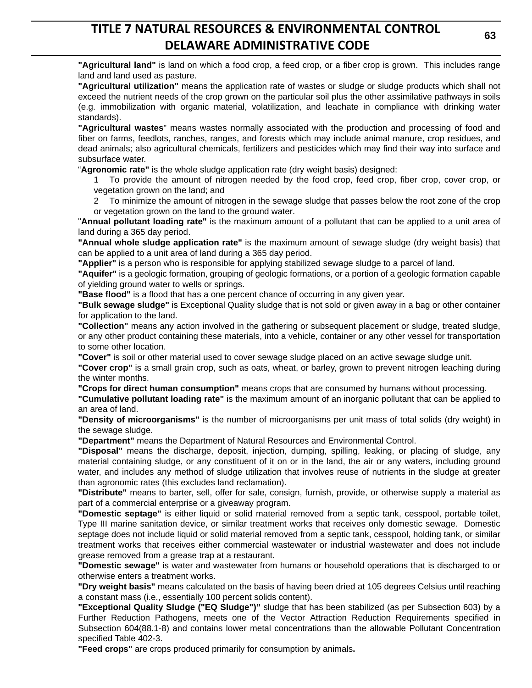**"Agricultural land"** is land on which a food crop, a feed crop, or a fiber crop is grown. This includes range land and land used as pasture.

**"Agricultural utilization"** means the application rate of wastes or sludge or sludge products which shall not exceed the nutrient needs of the crop grown on the particular soil plus the other assimilative pathways in soils (e.g. immobilization with organic material, volatilization, and leachate in compliance with drinking water standards).

**"Agricultural wastes**" means wastes normally associated with the production and processing of food and fiber on farms, feedlots, ranches, ranges, and forests which may include animal manure, crop residues, and dead animals; also agricultural chemicals, fertilizers and pesticides which may find their way into surface and subsurface water.

"**Agronomic rate"** is the whole sludge application rate (dry weight basis) designed:

1 To provide the amount of nitrogen needed by the food crop, feed crop, fiber crop, cover crop, or vegetation grown on the land; and

2 To minimize the amount of nitrogen in the sewage sludge that passes below the root zone of the crop or vegetation grown on the land to the ground water.

"**Annual pollutant loading rate"** is the maximum amount of a pollutant that can be applied to a unit area of land during a 365 day period.

**"Annual whole sludge application rate"** is the maximum amount of sewage sludge (dry weight basis) that can be applied to a unit area of land during a 365 day period.

**"Applier"** is a person who is responsible for applying stabilized sewage sludge to a parcel of land.

**"Aquifer"** is a geologic formation, grouping of geologic formations, or a portion of a geologic formation capable of yielding ground water to wells or springs.

**"Base flood"** is a flood that has a one percent chance of occurring in any given year.

**"Bulk sewage sludge"** is Exceptional Quality sludge that is not sold or given away in a bag or other container for application to the land.

**"Collection"** means any action involved in the gathering or subsequent placement or sludge, treated sludge, or any other product containing these materials, into a vehicle, container or any other vessel for transportation to some other location.

**"Cover"** is soil or other material used to cover sewage sludge placed on an active sewage sludge unit.

**"Cover crop"** is a small grain crop, such as oats, wheat, or barley, grown to prevent nitrogen leaching during the winter months.

**"Crops for direct human consumption"** means crops that are consumed by humans without processing.

**"Cumulative pollutant loading rate"** is the maximum amount of an inorganic pollutant that can be applied to an area of land.

**"Density of microorganisms"** is the number of microorganisms per unit mass of total solids (dry weight) in the sewage sludge.

**"Department"** means the Department of Natural Resources and Environmental Control.

**"Disposal"** means the discharge, deposit, injection, dumping, spilling, leaking, or placing of sludge, any material containing sludge, or any constituent of it on or in the land, the air or any waters, including ground water, and includes any method of sludge utilization that involves reuse of nutrients in the sludge at greater than agronomic rates (this excludes land reclamation).

**"Distribute"** means to barter, sell, offer for sale, consign, furnish, provide, or otherwise supply a material as part of a commercial enterprise or a giveaway program.

**"Domestic septage"** is either liquid or solid material removed from a septic tank, cesspool, portable toilet, Type III marine sanitation device, or similar treatment works that receives only domestic sewage. Domestic septage does not include liquid or solid material removed from a septic tank, cesspool, holding tank, or similar treatment works that receives either commercial wastewater or industrial wastewater and does not include grease removed from a grease trap at a restaurant.

**"Domestic sewage"** is water and wastewater from humans or household operations that is discharged to or otherwise enters a treatment works.

**"Dry weight basis"** means calculated on the basis of having been dried at 105 degrees Celsius until reaching a constant mass (i.e., essentially 100 percent solids content).

**"Exceptional Quality Sludge ("EQ Sludge")"** sludge that has been stabilized (as per Subsection 603) by a Further Reduction Pathogens, meets one of the Vector Attraction Reduction Requirements specified in Subsection 604(88.1-8) and contains lower metal concentrations than the allowable Pollutant Concentration specified Table 402-3.

**"Feed crops"** are crops produced primarily for consumption by animals**.**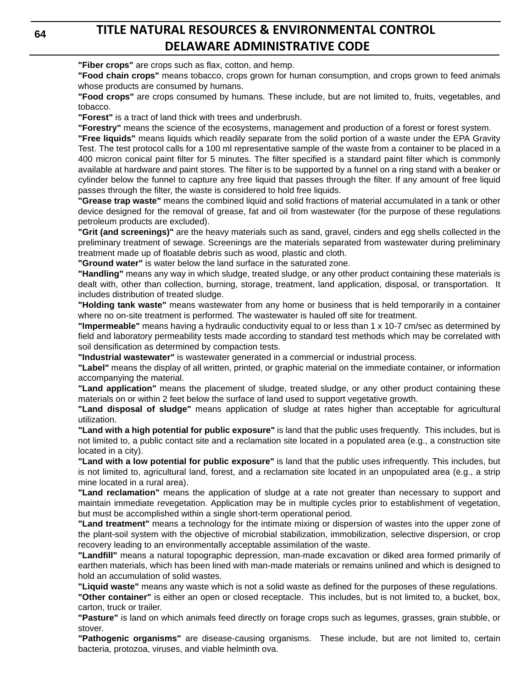**"Fiber crops"** are crops such as flax, cotton, and hemp.

**"Food chain crops"** means tobacco, crops grown for human consumption, and crops grown to feed animals whose products are consumed by humans.

**"Food crops"** are crops consumed by humans. These include, but are not limited to, fruits, vegetables, and tobacco.

**"Forest"** is a tract of land thick with trees and underbrush.

**"Forestry"** means the science of the ecosystems, management and production of a forest or forest system.

**"Free liquids"** means liquids which readily separate from the solid portion of a waste under the EPA Gravity Test. The test protocol calls for a 100 ml representative sample of the waste from a container to be placed in a 400 micron conical paint filter for 5 minutes. The filter specified is a standard paint filter which is commonly available at hardware and paint stores. The filter is to be supported by a funnel on a ring stand with a beaker or cylinder below the funnel to capture any free liquid that passes through the filter. If any amount of free liquid passes through the filter, the waste is considered to hold free liquids.

**"Grease trap waste"** means the combined liquid and solid fractions of material accumulated in a tank or other device designed for the removal of grease, fat and oil from wastewater (for the purpose of these regulations petroleum products are excluded).

**"Grit (and screenings)"** are the heavy materials such as sand, gravel, cinders and egg shells collected in the preliminary treatment of sewage. Screenings are the materials separated from wastewater during preliminary treatment made up of floatable debris such as wood, plastic and cloth.

**"Ground water"** is water below the land surface in the saturated zone.

**"Handling"** means any way in which sludge, treated sludge, or any other product containing these materials is dealt with, other than collection, burning, storage, treatment, land application, disposal, or transportation. It includes distribution of treated sludge.

**"Holding tank waste"** means wastewater from any home or business that is held temporarily in a container where no on-site treatment is performed. The wastewater is hauled off site for treatment.

**"Impermeable"** means having a hydraulic conductivity equal to or less than 1 x 10-7 cm/sec as determined by field and laboratory permeability tests made according to standard test methods which may be correlated with soil densification as determined by compaction tests.

**"Industrial wastewater"** is wastewater generated in a commercial or industrial process.

**"Label"** means the display of all written, printed, or graphic material on the immediate container, or information accompanying the material.

**"Land application"** means the placement of sludge, treated sludge, or any other product containing these materials on or within 2 feet below the surface of land used to support vegetative growth.

**"Land disposal of sludge"** means application of sludge at rates higher than acceptable for agricultural utilization.

**"Land with a high potential for public exposure"** is land that the public uses frequently. This includes, but is not limited to, a public contact site and a reclamation site located in a populated area (e.g., a construction site located in a city).

**"Land with a low potential for public exposure"** is land that the public uses infrequently. This includes, but is not limited to, agricultural land, forest, and a reclamation site located in an unpopulated area (e.g., a strip mine located in a rural area).

**"Land reclamation"** means the application of sludge at a rate not greater than necessary to support and maintain immediate revegetation. Application may be in multiple cycles prior to establishment of vegetation, but must be accomplished within a single short-term operational period.

**"Land treatment"** means a technology for the intimate mixing or dispersion of wastes into the upper zone of the plant-soil system with the objective of microbial stabilization, immobilization, selective dispersion, or crop recovery leading to an environmentally acceptable assimilation of the waste.

**"Landfill"** means a natural topographic depression, man-made excavation or diked area formed primarily of earthen materials, which has been lined with man-made materials or remains unlined and which is designed to hold an accumulation of solid wastes.

**"Liquid waste"** means any waste which is not a solid waste as defined for the purposes of these regulations.

**"Other container"** is either an open or closed receptacle. This includes, but is not limited to, a bucket, box, carton, truck or trailer.

**"Pasture"** is land on which animals feed directly on forage crops such as legumes, grasses, grain stubble, or stover.

**"Pathogenic organisms"** are disease-causing organisms. These include, but are not limited to, certain bacteria, protozoa, viruses, and viable helminth ova.

**64**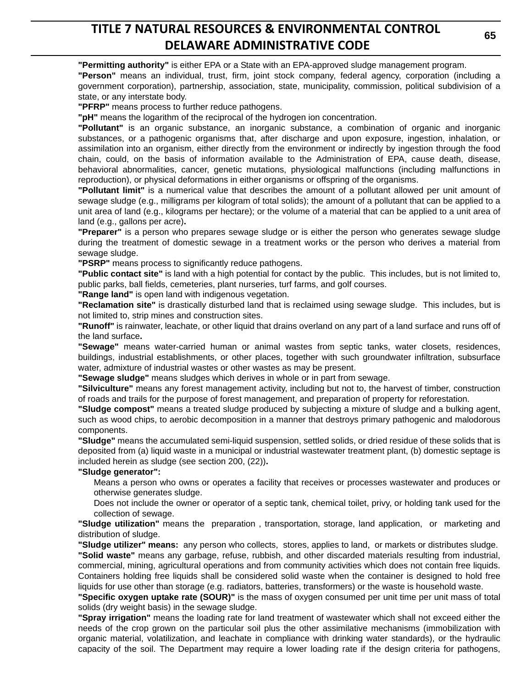**"Permitting authority"** is either EPA or a State with an EPA-approved sludge management program.

**"Person"** means an individual, trust, firm, joint stock company, federal agency, corporation (including a government corporation), partnership, association, state, municipality, commission, political subdivision of a state, or any interstate body.

**"PFRP"** means process to further reduce pathogens.

**"pH"** means the logarithm of the reciprocal of the hydrogen ion concentration.

**"Pollutant"** is an organic substance, an inorganic substance, a combination of organic and inorganic substances, or a pathogenic organisms that, after discharge and upon exposure, ingestion, inhalation, or assimilation into an organism, either directly from the environment or indirectly by ingestion through the food chain, could, on the basis of information available to the Administration of EPA, cause death, disease, behavioral abnormalities, cancer, genetic mutations, physiological malfunctions (including malfunctions in reproduction), or physical deformations in either organisms or offspring of the organisms.

**"Pollutant limit"** is a numerical value that describes the amount of a pollutant allowed per unit amount of sewage sludge (e.g., milligrams per kilogram of total solids); the amount of a pollutant that can be applied to a unit area of land (e.g., kilograms per hectare); or the volume of a material that can be applied to a unit area of land (e.g., gallons per acre)**.**

**"Preparer"** is a person who prepares sewage sludge or is either the person who generates sewage sludge during the treatment of domestic sewage in a treatment works or the person who derives a material from sewage sludge.

**"PSRP"** means process to significantly reduce pathogens.

**"Public contact site"** is land with a high potential for contact by the public. This includes, but is not limited to, public parks, ball fields, cemeteries, plant nurseries, turf farms, and golf courses.

**"Range land"** is open land with indigenous vegetation.

**"Reclamation site"** is drastically disturbed land that is reclaimed using sewage sludge. This includes, but is not limited to, strip mines and construction sites.

**"Runoff"** is rainwater, leachate, or other liquid that drains overland on any part of a land surface and runs off of the land surface**.**

**"Sewage"** means water-carried human or animal wastes from septic tanks, water closets, residences, buildings, industrial establishments, or other places, together with such groundwater infiltration, subsurface water, admixture of industrial wastes or other wastes as may be present.

**"Sewage sludge"** means sludges which derives in whole or in part from sewage.

**"Silviculture"** means any forest management activity, including but not to, the harvest of timber, construction of roads and trails for the purpose of forest management, and preparation of property for reforestation.

**"Sludge compost"** means a treated sludge produced by subjecting a mixture of sludge and a bulking agent, such as wood chips, to aerobic decomposition in a manner that destroys primary pathogenic and malodorous components.

**"Sludge"** means the accumulated semi-liquid suspension, settled solids, or dried residue of these solids that is deposited from (a) liquid waste in a municipal or industrial wastewater treatment plant, (b) domestic septage is included herein as sludge (see section 200, (22))**.**

### **"Sludge generator":**

Means a person who owns or operates a facility that receives or processes wastewater and produces or otherwise generates sludge.

Does not include the owner or operator of a septic tank, chemical toilet, privy, or holding tank used for the collection of sewage.

**"Sludge utilization"** means the preparation , transportation, storage, land application, or marketing and distribution of sludge.

**"Sludge utilizer" means:** any person who collects, stores, applies to land, or markets or distributes sludge. **"Solid waste"** means any garbage, refuse, rubbish, and other discarded materials resulting from industrial,

commercial, mining, agricultural operations and from community activities which does not contain free liquids. Containers holding free liquids shall be considered solid waste when the container is designed to hold free liquids for use other than storage (e.g. radiators, batteries, transformers) or the waste is household waste.

**"Specific oxygen uptake rate (SOUR)"** is the mass of oxygen consumed per unit time per unit mass of total solids (dry weight basis) in the sewage sludge.

**"Spray irrigation"** means the loading rate for land treatment of wastewater which shall not exceed either the needs of the crop grown on the particular soil plus the other assimilative mechanisms (immobilization with organic material, volatilization, and leachate in compliance with drinking water standards), or the hydraulic capacity of the soil. The Department may require a lower loading rate if the design criteria for pathogens,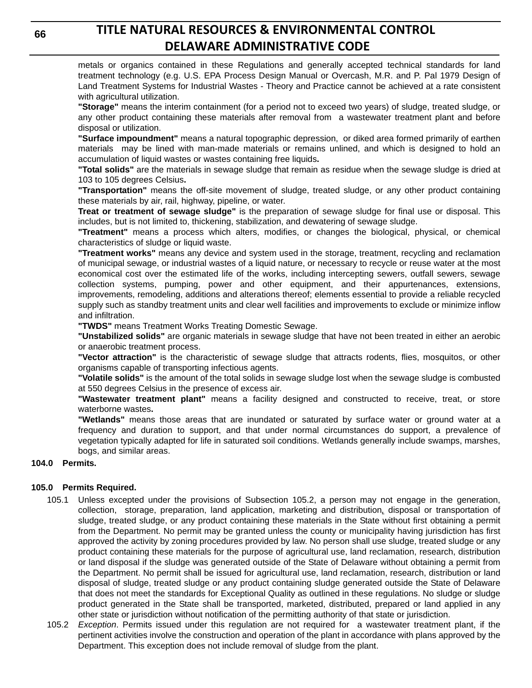metals or organics contained in these Regulations and generally accepted technical standards for land treatment technology (e.g. U.S. EPA Process Design Manual or Overcash, M.R. and P. Pal 1979 Design of Land Treatment Systems for Industrial Wastes - Theory and Practice cannot be achieved at a rate consistent with agricultural utilization.

**"Storage"** means the interim containment (for a period not to exceed two years) of sludge, treated sludge, or any other product containing these materials after removal from a wastewater treatment plant and before disposal or utilization.

**"Surface impoundment"** means a natural topographic depression, or diked area formed primarily of earthen materials may be lined with man-made materials or remains unlined, and which is designed to hold an accumulation of liquid wastes or wastes containing free liquids**.** 

**"Total solids"** are the materials in sewage sludge that remain as residue when the sewage sludge is dried at 103 to 105 degrees Celsius**.**

**"Transportation"** means the off-site movement of sludge, treated sludge, or any other product containing these materials by air, rail, highway, pipeline, or water.

**Treat or treatment of sewage sludge"** is the preparation of sewage sludge for final use or disposal. This includes, but is not limited to, thickening, stabilization, and dewatering of sewage sludge.

**"Treatment"** means a process which alters, modifies, or changes the biological, physical, or chemical characteristics of sludge or liquid waste.

**"Treatment works"** means any device and system used in the storage, treatment, recycling and reclamation of municipal sewage, or industrial wastes of a liquid nature, or necessary to recycle or reuse water at the most economical cost over the estimated life of the works, including intercepting sewers, outfall sewers, sewage collection systems, pumping, power and other equipment, and their appurtenances, extensions, improvements, remodeling, additions and alterations thereof; elements essential to provide a reliable recycled supply such as standby treatment units and clear well facilities and improvements to exclude or minimize inflow and infiltration.

**"TWDS"** means Treatment Works Treating Domestic Sewage.

**"Unstabilized solids"** are organic materials in sewage sludge that have not been treated in either an aerobic or anaerobic treatment process.

**"Vector attraction"** is the characteristic of sewage sludge that attracts rodents, flies, mosquitos, or other organisms capable of transporting infectious agents.

**"Volatile solids"** is the amount of the total solids in sewage sludge lost when the sewage sludge is combusted at 550 degrees Celsius in the presence of excess air.

**"Wastewater treatment plant"** means a facility designed and constructed to receive, treat, or store waterborne wastes**.**

**"Wetlands"** means those areas that are inundated or saturated by surface water or ground water at a frequency and duration to support, and that under normal circumstances do support, a prevalence of vegetation typically adapted for life in saturated soil conditions. Wetlands generally include swamps, marshes, bogs, and similar areas.

### **104.0 Permits.**

### **105.0 Permits Required.**

- 105.1 Unless excepted under the provisions of Subsection 105.2, a person may not engage in the generation, collection, storage, preparation, land application, marketing and distribution*,* disposal or transportation of sludge, treated sludge, or any product containing these materials in the State without first obtaining a permit from the Department. No permit may be granted unless the county or municipality having jurisdiction has first approved the activity by zoning procedures provided by law. No person shall use sludge, treated sludge or any product containing these materials for the purpose of agricultural use, land reclamation, research, distribution or land disposal if the sludge was generated outside of the State of Delaware without obtaining a permit from the Department. No permit shall be issued for agricultural use, land reclamation, research, distribution or land disposal of sludge, treated sludge or any product containing sludge generated outside the State of Delaware that does not meet the standards for Exceptional Quality as outlined in these regulations. No sludge or sludge product generated in the State shall be transported, marketed, distributed, prepared or land applied in any other state or jurisdiction without notification of the permitting authority of that state or jurisdiction.
- 105.2 *Exception*. Permits issued under this regulation are not required for a wastewater treatment plant, if the pertinent activities involve the construction and operation of the plant in accordance with plans approved by the Department. This exception does not include removal of sludge from the plant.

**66**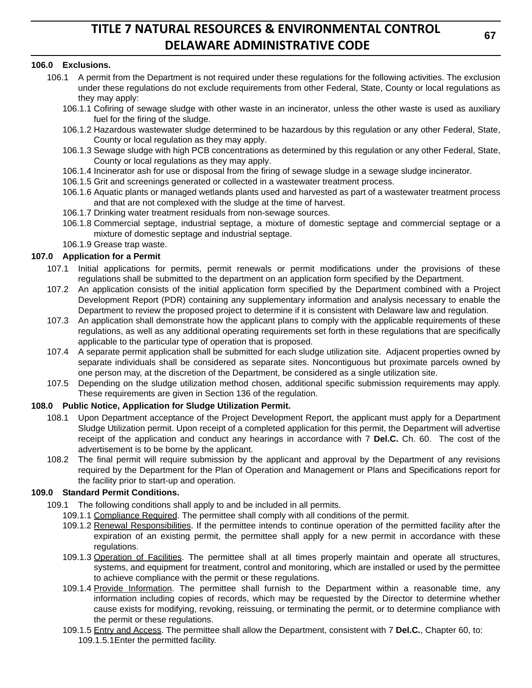### **106.0 Exclusions.**

- 106.1 A permit from the Department is not required under these regulations for the following activities. The exclusion under these regulations do not exclude requirements from other Federal, State, County or local regulations as they may apply:
	- 106.1.1 Cofiring of sewage sludge with other waste in an incinerator, unless the other waste is used as auxiliary fuel for the firing of the sludge.
	- 106.1.2 Hazardous wastewater sludge determined to be hazardous by this regulation or any other Federal, State, County or local regulation as they may apply.
	- 106.1.3 Sewage sludge with high PCB concentrations as determined by this regulation or any other Federal, State, County or local regulations as they may apply.
	- 106.1.4 Incinerator ash for use or disposal from the firing of sewage sludge in a sewage sludge incinerator.
	- 106.1.5 Grit and screenings generated or collected in a wastewater treatment process.
	- 106.1.6 Aquatic plants or managed wetlands plants used and harvested as part of a wastewater treatment process and that are not complexed with the sludge at the time of harvest.
	- 106.1.7 Drinking water treatment residuals from non-sewage sources.
	- 106.1.8 Commercial septage, industrial septage, a mixture of domestic septage and commercial septage or a mixture of domestic septage and industrial septage.
	- 106.1.9 Grease trap waste.

### **107.0 Application for a Permit**

- 107.1 Initial applications for permits, permit renewals or permit modifications under the provisions of these regulations shall be submitted to the department on an application form specified by the Department.
- 107.2 An application consists of the initial application form specified by the Department combined with a Project Development Report (PDR) containing any supplementary information and analysis necessary to enable the Department to review the proposed project to determine if it is consistent with Delaware law and regulation.
- 107.3 An application shall demonstrate how the applicant plans to comply with the applicable requirements of these regulations, as well as any additional operating requirements set forth in these regulations that are specifically applicable to the particular type of operation that is proposed.
- 107.4 A separate permit application shall be submitted for each sludge utilization site. Adjacent properties owned by separate individuals shall be considered as separate sites. Noncontiguous but proximate parcels owned by one person may, at the discretion of the Department, be considered as a single utilization site.
- 107.5 Depending on the sludge utilization method chosen, additional specific submission requirements may apply. These requirements are given in Section 136 of the regulation.

### **108.0 Public Notice, Application for Sludge Utilization Permit.**

- 108.1 Upon Department acceptance of the Project Development Report, the applicant must apply for a Department Sludge Utilization permit. Upon receipt of a completed application for this permit, the Department will advertise receipt of the application and conduct any hearings in accordance with 7 **Del.C.** Ch. 60. The cost of the advertisement is to be borne by the applicant.
- 108.2 The final permit will require submission by the applicant and approval by the Department of any revisions required by the Department for the Plan of Operation and Management or Plans and Specifications report for the facility prior to start-up and operation.

### **109.0 Standard Permit Conditions.**

- 109.1 The following conditions shall apply to and be included in all permits.
	- 109.1.1 Compliance Required. The permittee shall comply with all conditions of the permit.
	- 109.1.2 Renewal Responsibilities. If the permittee intends to continue operation of the permitted facility after the expiration of an existing permit, the permittee shall apply for a new permit in accordance with these regulations.
	- 109.1.3 Operation of Facilities. The permittee shall at all times properly maintain and operate all structures, systems, and equipment for treatment, control and monitoring, which are installed or used by the permittee to achieve compliance with the permit or these regulations.
	- 109.1.4 Provide Information. The permittee shall furnish to the Department within a reasonable time, any information including copies of records, which may be requested by the Director to determine whether cause exists for modifying, revoking, reissuing, or terminating the permit, or to determine compliance with the permit or these regulations.
	- 109.1.5 Entry and Access. The permittee shall allow the Department, consistent with 7 **Del.C.**, Chapter 60, to: 109.1.5.1Enter the permitted facility.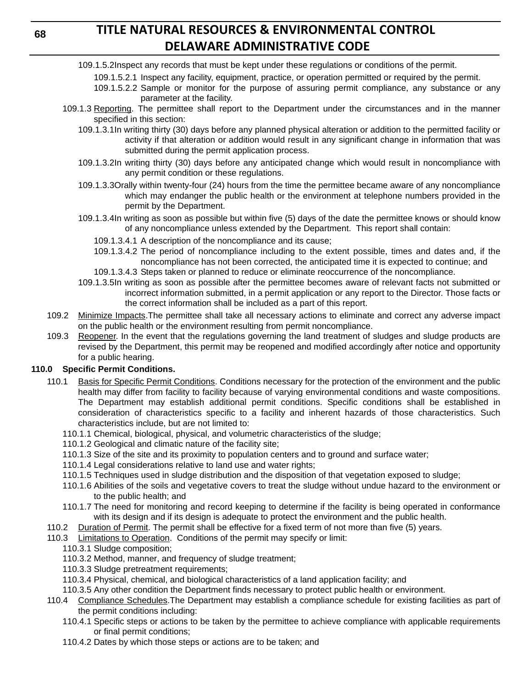### **68**

# **TITLE NATURAL RESOURCES & ENVIRONMENTAL CONTROL DELAWARE ADMINISTRATIVE CODE**

- 109.1.5.2Inspect any records that must be kept under these regulations or conditions of the permit.
	- 109.1.5.2.1 Inspect any facility, equipment, practice, or operation permitted or required by the permit.
		- 109.1.5.2.2 Sample or monitor for the purpose of assuring permit compliance, any substance or any parameter at the facility.
- 109.1.3 Reporting. The permittee shall report to the Department under the circumstances and in the manner specified in this section:
	- 109.1.3.1In writing thirty (30) days before any planned physical alteration or addition to the permitted facility or activity if that alteration or addition would result in any significant change in information that was submitted during the permit application process.
	- 109.1.3.2In writing thirty (30) days before any anticipated change which would result in noncompliance with any permit condition or these regulations.
	- 109.1.3.3Orally within twenty-four (24) hours from the time the permittee became aware of any noncompliance which may endanger the public health or the environment at telephone numbers provided in the permit by the Department.
	- 109.1.3.4In writing as soon as possible but within five (5) days of the date the permittee knows or should know of any noncompliance unless extended by the Department. This report shall contain:
		- 109.1.3.4.1 A description of the noncompliance and its cause;
		- 109.1.3.4.2 The period of noncompliance including to the extent possible, times and dates and, if the noncompliance has not been corrected, the anticipated time it is expected to continue; and
		- 109.1.3.4.3 Steps taken or planned to reduce or eliminate reoccurrence of the noncompliance.
	- 109.1.3.5In writing as soon as possible after the permittee becomes aware of relevant facts not submitted or incorrect information submitted, in a permit application or any report to the Director. Those facts or the correct information shall be included as a part of this report.
- 109.2 Minimize Impacts. The permittee shall take all necessary actions to eliminate and correct any adverse impact on the public health or the environment resulting from permit noncompliance.
- 109.3 Reopener. In the event that the regulations governing the land treatment of sludges and sludge products are revised by the Department, this permit may be reopened and modified accordingly after notice and opportunity for a public hearing.

## **110.0 Specific Permit Conditions.**

- 110.1 Basis for Specific Permit Conditions. Conditions necessary for the protection of the environment and the public health may differ from facility to facility because of varying environmental conditions and waste compositions. The Department may establish additional permit conditions. Specific conditions shall be established in consideration of characteristics specific to a facility and inherent hazards of those characteristics. Such characteristics include, but are not limited to:
	- 110.1.1 Chemical, biological, physical, and volumetric characteristics of the sludge;
	- 110.1.2 Geological and climatic nature of the facility site;
	- 110.1.3 Size of the site and its proximity to population centers and to ground and surface water;
	- 110.1.4 Legal considerations relative to land use and water rights;
	- 110.1.5 Techniques used in sludge distribution and the disposition of that vegetation exposed to sludge;
	- 110.1.6 Abilities of the soils and vegetative covers to treat the sludge without undue hazard to the environment or to the public health; and
	- 110.1.7 The need for monitoring and record keeping to determine if the facility is being operated in conformance with its design and if its design is adequate to protect the environment and the public health.
- 110.2 Duration of Permit. The permit shall be effective for a fixed term of not more than five (5) years.
- 110.3 Limitations to Operation. Conditions of the permit may specify or limit:
	- 110.3.1 Sludge composition;
	- 110.3.2 Method, manner, and frequency of sludge treatment;
	- 110.3.3 Sludge pretreatment requirements;
	- 110.3.4 Physical, chemical, and biological characteristics of a land application facility; and
	- 110.3.5 Any other condition the Department finds necessary to protect public health or environment.
- 110.4 Compliance Schedules.The Department may establish a compliance schedule for existing facilities as part of the permit conditions including:
	- 110.4.1 Specific steps or actions to be taken by the permittee to achieve compliance with applicable requirements or final permit conditions;
	- 110.4.2 Dates by which those steps or actions are to be taken; and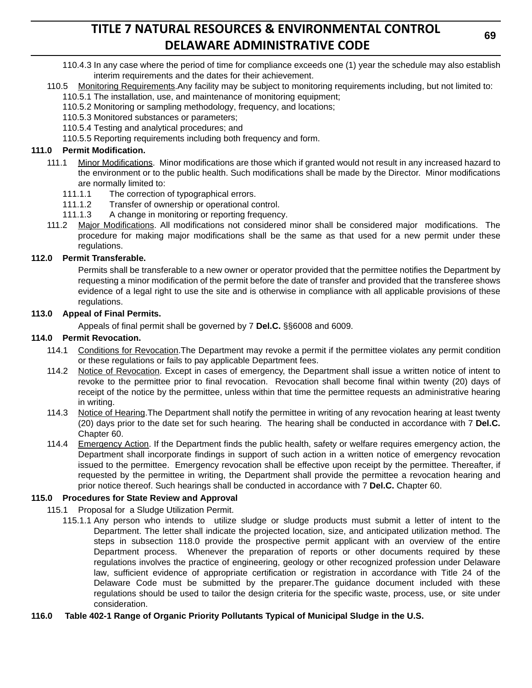- 110.4.3 In any case where the period of time for compliance exceeds one (1) year the schedule may also establish interim requirements and the dates for their achievement.
- 110.5 Monitoring Requirements. Any facility may be subject to monitoring requirements including, but not limited to: 110.5.1 The installation, use, and maintenance of monitoring equipment;
	- 110.5.2 Monitoring or sampling methodology, frequency, and locations;
	- 110.5.3 Monitored substances or parameters;
	- 110.5.4 Testing and analytical procedures; and
	- 110.5.5 Reporting requirements including both frequency and form.

### **111.0 Permit Modification.**

- 111.1 Minor Modifications. Minor modifications are those which if granted would not result in any increased hazard to the environment or to the public health. Such modifications shall be made by the Director. Minor modifications are normally limited to:
	- 111.1.1 The correction of typographical errors.
	- 111.1.2 Transfer of ownership or operational control.
	- 111.1.3 A change in monitoring or reporting frequency.
- 111.2 Major Modifications. All modifications not considered minor shall be considered major modifications. The procedure for making major modifications shall be the same as that used for a new permit under these regulations.

### **112.0 Permit Transferable.**

Permits shall be transferable to a new owner or operator provided that the permittee notifies the Department by requesting a minor modification of the permit before the date of transfer and provided that the transferee shows evidence of a legal right to use the site and is otherwise in compliance with all applicable provisions of these regulations.

### **113.0 Appeal of Final Permits.**

Appeals of final permit shall be governed by 7 **Del.C.** §§6008 and 6009.

### **114.0 Permit Revocation.**

- 114.1 Conditions for Revocation.The Department may revoke a permit if the permittee violates any permit condition or these regulations or fails to pay applicable Department fees.
- 114.2 Notice of Revocation. Except in cases of emergency, the Department shall issue a written notice of intent to revoke to the permittee prior to final revocation. Revocation shall become final within twenty (20) days of receipt of the notice by the permittee, unless within that time the permittee requests an administrative hearing in writing.
- 114.3 Notice of Hearing.The Department shall notify the permittee in writing of any revocation hearing at least twenty (20) days prior to the date set for such hearing. The hearing shall be conducted in accordance with 7 **Del.C.** Chapter 60.
- 114.4 Emergency Action. If the Department finds the public health, safety or welfare requires emergency action, the Department shall incorporate findings in support of such action in a written notice of emergency revocation issued to the permittee. Emergency revocation shall be effective upon receipt by the permittee. Thereafter, if requested by the permittee in writing, the Department shall provide the permittee a revocation hearing and prior notice thereof. Such hearings shall be conducted in accordance with 7 **Del.C.** Chapter 60.

### **115.0 Procedures for State Review and Approval**

- 115.1 Proposal for a Sludge Utilization Permit.
	- 115.1.1 Any person who intends to utilize sludge or sludge products must submit a letter of intent to the Department. The letter shall indicate the projected location, size, and anticipated utilization method. The steps in subsection 118.0 provide the prospective permit applicant with an overview of the entire Department process. Whenever the preparation of reports or other documents required by these regulations involves the practice of engineering, geology or other recognized profession under Delaware law, sufficient evidence of appropriate certification or registration in accordance with Title 24 of the Delaware Code must be submitted by the preparer.The guidance document included with these regulations should be used to tailor the design criteria for the specific waste, process, use, or site under consideration.
- **116.0 Table 402-1 Range of Organic Priority Pollutants Typical of Municipal Sludge in the U.S.**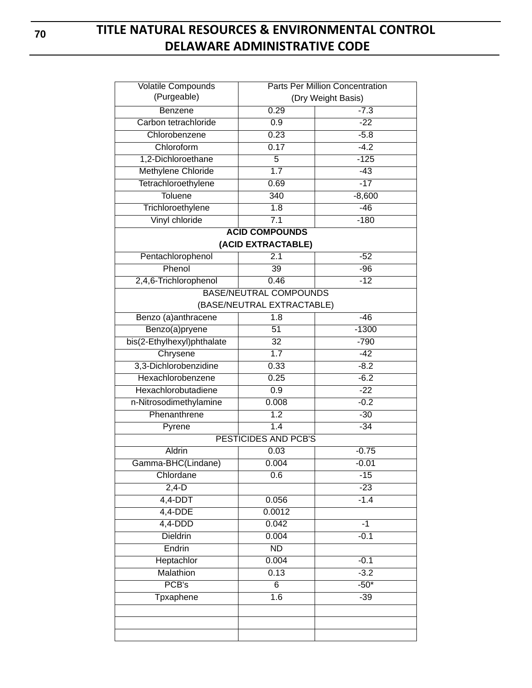| <b>Volatile Compounds</b>  | <b>Parts Per Million Concentration</b> |          |
|----------------------------|----------------------------------------|----------|
| (Purgeable)                | (Dry Weight Basis)                     |          |
| Benzene                    | 0.29                                   | $-7.3$   |
| Carbon tetrachloride       | 0.9                                    | $-22$    |
| Chlorobenzene              | 0.23                                   | $-5.8$   |
| Chloroform                 | 0.17                                   | $-4.2$   |
| 1,2-Dichloroethane         | $\overline{5}$                         | $-125$   |
| Methylene Chloride         | 1.7                                    | $-43$    |
| Tetrachloroethylene        | 0.69                                   | $-17$    |
| <b>Toluene</b>             | 340                                    | $-8,600$ |
| Trichloroethylene          | 1.8                                    | $-46$    |
| Vinyl chloride             | 7.1                                    | $-180$   |
|                            | <b>ACID COMPOUNDS</b>                  |          |
|                            | (ACID EXTRACTABLE)                     |          |
| Pentachlorophenol          | 2.1                                    | $-52$    |
| Phenol                     | 39                                     | $-96$    |
| 2,4,6-Trichlorophenol      | 0.46                                   | $-12$    |
|                            | <b>BASE/NEUTRAL COMPOUNDS</b>          |          |
|                            | (BASE/NEUTRAL EXTRACTABLE)             |          |
| Benzo (a)anthracene        | 1.8                                    | $-46$    |
| Benzo(a)pryene             | 51                                     | $-1300$  |
| bis(2-Ethylhexyl)phthalate | $\overline{32}$                        | $-790$   |
| Chrysene                   | 1.7                                    | $-42$    |
| 3,3-Dichlorobenzidine      | 0.33                                   | $-8.2$   |
| Hexachlorobenzene          | 0.25                                   | $-6.2$   |
| Hexachlorobutadiene        | 0.9                                    | $-22$    |
| n-Nitrosodimethylamine     | 0.008                                  | $-0.2$   |
| Phenanthrene               | 1.2                                    | $-30$    |
| Pyrene                     | 1.4                                    | $-34$    |
|                            | <b>PESTICIDES AND PCB'S</b>            |          |
| Aldrin                     | 0.03                                   | $-0.75$  |
| Gamma-BHC(Lindane)         | 0.004                                  | $-0.01$  |
| Chlordane                  | 0.6                                    | $-15$    |
| $2,4-D$                    |                                        | $-23$    |
| $4,4-DDT$                  | 0.056                                  | $-1.4$   |
| $4,4-DDE$                  | 0.0012                                 |          |
| $4,4-DDD$                  | 0.042                                  | $-1$     |
| <b>Dieldrin</b>            | 0.004                                  | $-0.1$   |
| Endrin                     | $\overline{ND}$                        |          |
| Heptachlor                 | 0.004                                  | $-0.1$   |
| <b>Malathion</b>           | 0.13                                   | $-3.2$   |
| PCB's                      | $\overline{6}$                         | $-50*$   |
| <b>Tpxaphene</b>           | 1.6                                    | $-39$    |
|                            |                                        |          |
|                            |                                        |          |
|                            |                                        |          |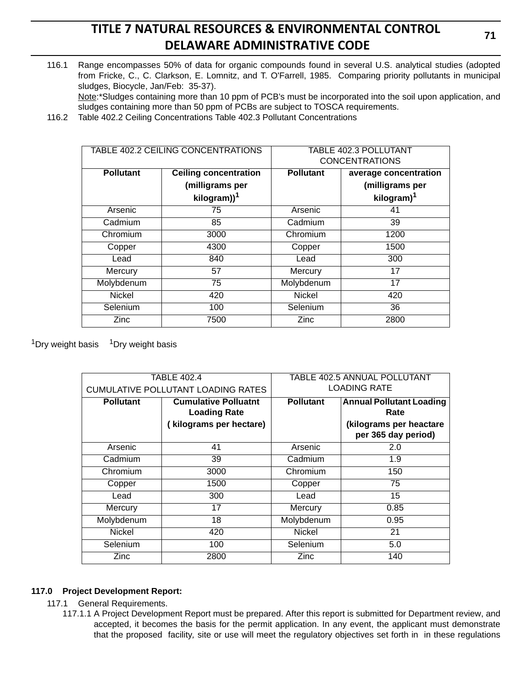116.1 Range encompasses 50% of data for organic compounds found in several U.S. analytical studies (adopted from Fricke, C., C. Clarkson, E. Lomnitz, and T. O'Farrell, 1985. Comparing priority pollutants in municipal sludges, Biocycle, Jan/Feb: 35-37).

Note:\*Sludges containing more than 10 ppm of PCB's must be incorporated into the soil upon application, and sludges containing more than 50 ppm of PCBs are subject to TOSCA requirements.

116.2 Table 402.2 Ceiling Concentrations Table 402.3 Pollutant Concentrations

| TABLE 402.2 CEILING CONCENTRATIONS |                              | <b>TABLE 402.3 POLLUTANT</b><br><b>CONCENTRATIONS</b> |                        |
|------------------------------------|------------------------------|-------------------------------------------------------|------------------------|
| <b>Pollutant</b>                   | <b>Ceiling concentration</b> | <b>Pollutant</b>                                      | average concentration  |
|                                    | (milligrams per              |                                                       | (milligrams per        |
|                                    | kilogram)) <sup>1</sup>      |                                                       | kilogram) <sup>1</sup> |
| Arsenic                            | 75                           | Arsenic                                               | 41                     |
| Cadmium                            | 85                           | Cadmium                                               | 39                     |
| Chromium                           | 3000                         | Chromium                                              | 1200                   |
| Copper                             | 4300                         | Copper                                                | 1500                   |
| Lead                               | 840                          | Lead                                                  | 300                    |
| Mercury                            | 57                           | Mercury                                               | 17                     |
| Molybdenum                         | 75                           | Molybdenum                                            | 17                     |
| <b>Nickel</b>                      | 420                          | <b>Nickel</b>                                         | 420                    |
| Selenium                           | 100                          | Selenium                                              | 36                     |
| Zinc                               | 7500                         | Zinc                                                  | 2800                   |

 $1$ Dry weight basis  $1$ Dry weight basis

| <b>TABLE 402.4</b>                        |                                                    | <b>TABLE 402.5 ANNUAL POLLUTANT</b> |                                                |
|-------------------------------------------|----------------------------------------------------|-------------------------------------|------------------------------------------------|
| <b>CUMULATIVE POLLUTANT LOADING RATES</b> |                                                    | <b>LOADING RATE</b>                 |                                                |
| <b>Pollutant</b>                          | <b>Cumulative Polluatnt</b><br><b>Loading Rate</b> |                                     | <b>Annual Pollutant Loading</b><br>Rate        |
|                                           | (kilograms per hectare)                            |                                     | (kilograms per heactare<br>per 365 day period) |
| Arsenic                                   | 41                                                 | Arsenic                             | 2.0                                            |
| Cadmium                                   | 39                                                 | Cadmium                             | 1.9                                            |
| Chromium                                  | 3000                                               | Chromium                            | 150                                            |
| Copper                                    | 1500                                               | Copper                              | 75                                             |
| Lead                                      | 300                                                | Lead                                | 15                                             |
| Mercury                                   | 17                                                 | Mercury                             | 0.85                                           |
| Molybdenum                                | 18                                                 | Molybdenum                          | 0.95                                           |
| <b>Nickel</b>                             | 420                                                | <b>Nickel</b>                       | 21                                             |
| Selenium                                  | 100                                                | Selenium                            | 5.0                                            |
| Zinc                                      | 2800                                               | Zinc                                | 140                                            |

### **117.0 Project Development Report:**

- 117.1 General Requirements.
	- 117.1.1 A Project Development Report must be prepared. After this report is submitted for Department review, and accepted, it becomes the basis for the permit application. In any event, the applicant must demonstrate that the proposed facility*,* site or use will meet the regulatory objectives set forth in in these regulations

**71**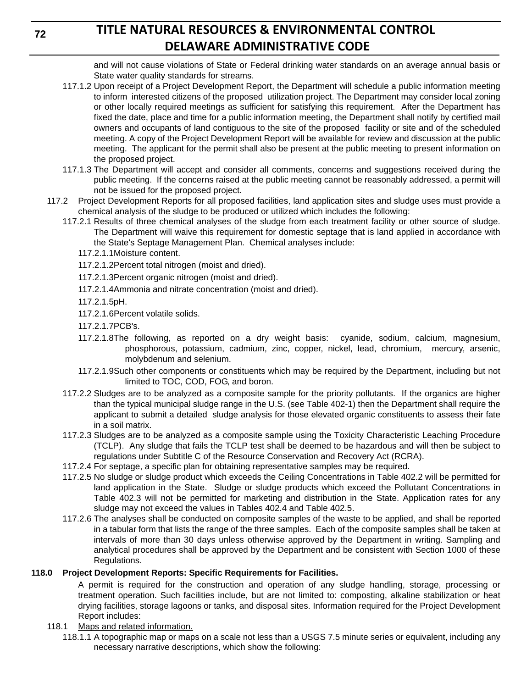and will not cause violations of State or Federal drinking water standards on an average annual basis or State water quality standards for streams.

- 117.1.2 Upon receipt of a Project Development Report, the Department will schedule a public information meeting to inform interested citizens of the proposed utilization project. The Department may consider local zoning or other locally required meetings as sufficient for satisfying this requirement. After the Department has fixed the date, place and time for a public information meeting, the Department shall notify by certified mail owners and occupants of land contiguous to the site of the proposed facility or site and of the scheduled meeting. A copy of the Project Development Report will be available for review and discussion at the public meeting. The applicant for the permit shall also be present at the public meeting to present information on the proposed project.
- 117.1.3 The Department will accept and consider all comments, concerns and suggestions received during the public meeting. If the concerns raised at the public meeting cannot be reasonably addressed, a permit will not be issued for the proposed project.
- 117.2 Project Development Reports for all proposed facilities, land application sites and sludge uses must provide a chemical analysis of the sludge to be produced or utilized which includes the following:
	- 117.2.1 Results of three chemical analyses of the sludge from each treatment facility or other source of sludge. The Department will waive this requirement for domestic septage that is land applied in accordance with the State's Septage Management Plan. Chemical analyses include:
		- 117.2.1.1Moisture content.
		- 117.2.1.2Percent total nitrogen (moist and dried).
		- 117.2.1.3Percent organic nitrogen (moist and dried).
		- 117.2.1.4Ammonia and nitrate concentration (moist and dried).
		- 117.2.1.5pH.
		- 117.2.1.6Percent volatile solids.
		- 117.2.1.7PCB's.
		- 117.2.1.8The following, as reported on a dry weight basis: cyanide, sodium, calcium, magnesium, phosphorous, potassium, cadmium, zinc, copper, nickel, lead, chromium, mercury, arsenic, molybdenum and selenium.
		- 117.2.1.9Such other components or constituents which may be required by the Department, including but not limited to TOC, COD, FOG, and boron.
	- 117.2.2 Sludges are to be analyzed as a composite sample for the priority pollutants. If the organics are higher than the typical municipal sludge range in the U.S. (see Table 402-1) then the Department shall require the applicant to submit a detailed sludge analysis for those elevated organic constituents to assess their fate in a soil matrix.
	- 117.2.3 Sludges are to be analyzed as a composite sample using the Toxicity Characteristic Leaching Procedure (TCLP). Any sludge that fails the TCLP test shall be deemed to be hazardous and will then be subject to regulations under Subtitle C of the Resource Conservation and Recovery Act (RCRA).
	- 117.2.4 For septage, a specific plan for obtaining representative samples may be required.
	- 117.2.5 No sludge or sludge product which exceeds the Ceiling Concentrations in Table 402.2 will be permitted for land application in the State. Sludge or sludge products which exceed the Pollutant Concentrations in Table 402.3 will not be permitted for marketing and distribution in the State. Application rates for any sludge may not exceed the values in Tables 402.4 and Table 402.5.
	- 117.2.6 The analyses shall be conducted on composite samples of the waste to be applied, and shall be reported in a tabular form that lists the range of the three samples. Each of the composite samples shall be taken at intervals of more than 30 days unless otherwise approved by the Department in writing. Sampling and analytical procedures shall be approved by the Department and be consistent with Section 1000 of these Regulations.

## **118.0 Project Development Reports: Specific Requirements for Facilities.**

A permit is required for the construction and operation of any sludge handling, storage, processing or treatment operation. Such facilities include, but are not limited to: composting, alkaline stabilization or heat drying facilities, storage lagoons or tanks, and disposal sites. Information required for the Project Development Report includes:

- 118.1 Maps and related information.
	- 118.1.1 A topographic map or maps on a scale not less than a USGS 7.5 minute series or equivalent, including any necessary narrative descriptions, which show the following:

**72**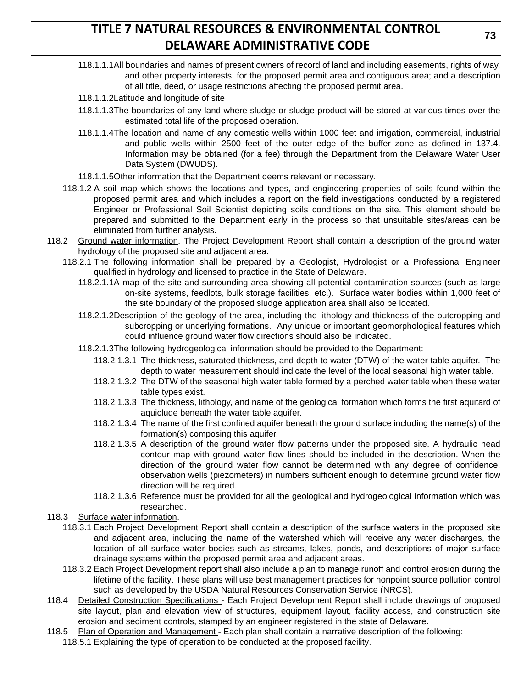- 118.1.1.1All boundaries and names of present owners of record of land and including easements, rights of way, and other property interests, for the proposed permit area and contiguous area; and a description of all title, deed, or usage restrictions affecting the proposed permit area.
- 118.1.1.2Latitude and longitude of site
- 118.1.1.3The boundaries of any land where sludge or sludge product will be stored at various times over the estimated total life of the proposed operation.
- 118.1.1.4The location and name of any domestic wells within 1000 feet and irrigation, commercial, industrial and public wells within 2500 feet of the outer edge of the buffer zone as defined in 137.4. Information may be obtained (for a fee) through the Department from the Delaware Water User Data System (DWUDS).
- 118.1.1.5Other information that the Department deems relevant or necessary.
- 118.1.2 A soil map which shows the locations and types, and engineering properties of soils found within the proposed permit area and which includes a report on the field investigations conducted by a registered Engineer or Professional Soil Scientist depicting soils conditions on the site. This element should be prepared and submitted to the Department early in the process so that unsuitable sites/areas can be eliminated from further analysis.
- 118.2 Ground water information. The Project Development Report shall contain a description of the ground water hydrology of the proposed site and adjacent area.
	- 118.2.1 The following information shall be prepared by a Geologist, Hydrologist or a Professional Engineer qualified in hydrology and licensed to practice in the State of Delaware.
		- 118.2.1.1A map of the site and surrounding area showing all potential contamination sources (such as large on-site systems, feedlots, bulk storage facilities, etc.). Surface water bodies within 1,000 feet of the site boundary of the proposed sludge application area shall also be located.
		- 118.2.1.2Description of the geology of the area, including the lithology and thickness of the outcropping and subcropping or underlying formations. Any unique or important geomorphological features which could influence ground water flow directions should also be indicated.
		- 118.2.1.3The following hydrogeological information should be provided to the Department:
			- 118.2.1.3.1 The thickness, saturated thickness, and depth to water (DTW) of the water table aquifer. The depth to water measurement should indicate the level of the local seasonal high water table.
			- 118.2.1.3.2 The DTW of the seasonal high water table formed by a perched water table when these water table types exist.
			- 118.2.1.3.3 The thickness, lithology, and name of the geological formation which forms the first aquitard of aquiclude beneath the water table aquifer.
			- 118.2.1.3.4 The name of the first confined aquifer beneath the ground surface including the name(s) of the formation(s) composing this aquifer.
			- 118.2.1.3.5 A description of the ground water flow patterns under the proposed site. A hydraulic head contour map with ground water flow lines should be included in the description. When the direction of the ground water flow cannot be determined with any degree of confidence, observation wells (piezometers) in numbers sufficient enough to determine ground water flow direction will be required.
			- 118.2.1.3.6 Reference must be provided for all the geological and hydrogeological information which was researched.
- 118.3 Surface water information.
	- 118.3.1 Each Project Development Report shall contain a description of the surface waters in the proposed site and adjacent area, including the name of the watershed which will receive any water discharges, the location of all surface water bodies such as streams, lakes, ponds, and descriptions of major surface drainage systems within the proposed permit area and adjacent areas.
		- 118.3.2 Each Project Development report shall also include a plan to manage runoff and control erosion during the lifetime of the facility. These plans will use best management practices for nonpoint source pollution control such as developed by the USDA Natural Resources Conservation Service (NRCS).
- 118.4 Detailed Construction Specifications Each Project Development Report shall include drawings of proposed site layout, plan and elevation view of structures, equipment layout, facility access, and construction site erosion and sediment controls, stamped by an engineer registered in the state of Delaware.
- 118.5 Plan of Operation and Management Each plan shall contain a narrative description of the following:
	- 118.5.1 Explaining the type of operation to be conducted at the proposed facility.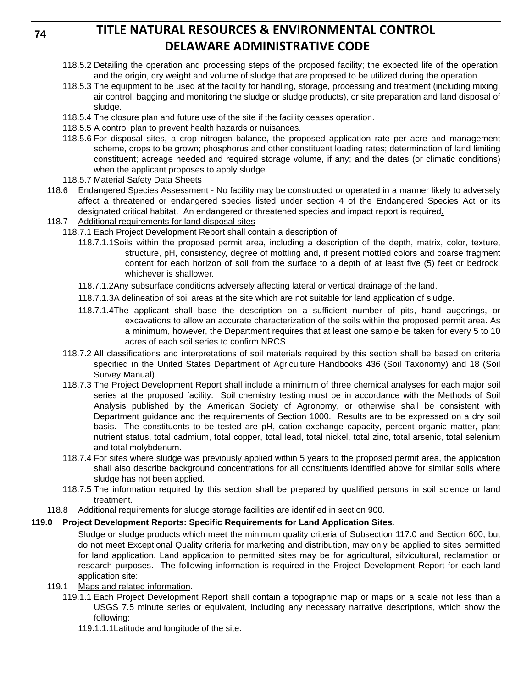## **74**

# **TITLE NATURAL RESOURCES & ENVIRONMENTAL CONTROL DELAWARE ADMINISTRATIVE CODE**

- 118.5.2 Detailing the operation and processing steps of the proposed facility; the expected life of the operation; and the origin, dry weight and volume of sludge that are proposed to be utilized during the operation.
- 118.5.3 The equipment to be used at the facility for handling, storage, processing and treatment (including mixing, air control, bagging and monitoring the sludge or sludge products), or site preparation and land disposal of sludge.
- 118.5.4 The closure plan and future use of the site if the facility ceases operation.
- 118.5.5 A control plan to prevent health hazards or nuisances.
- 118.5.6 For disposal sites, a crop nitrogen balance, the proposed application rate per acre and management scheme, crops to be grown; phosphorus and other constituent loading rates; determination of land limiting constituent; acreage needed and required storage volume, if any; and the dates (or climatic conditions) when the applicant proposes to apply sludge.
- 118.5.7 Material Safety Data Sheets
- 118.6 Endangered Species Assessment No facility may be constructed or operated in a manner likely to adversely affect a threatened or endangered species listed under section 4 of the Endangered Species Act or its designated critical habitat. An endangered or threatened species and impact report is required.
- 118.7 Additional requirements for land disposal sites
	- 118.7.1 Each Project Development Report shall contain a description of:
		- 118.7.1.1Soils within the proposed permit area, including a description of the depth, matrix, color, texture, structure, pH, consistency, degree of mottling and, if present mottled colors and coarse fragment content for each horizon of soil from the surface to a depth of at least five (5) feet or bedrock, whichever is shallower.
		- 118.7.1.2Any subsurface conditions adversely affecting lateral or vertical drainage of the land.
		- 118.7.1.3A delineation of soil areas at the site which are not suitable for land application of sludge.
		- 118.7.1.4The applicant shall base the description on a sufficient number of pits, hand augerings, or excavations to allow an accurate characterization of the soils within the proposed permit area. As a minimum, however, the Department requires that at least one sample be taken for every 5 to 10 acres of each soil series to confirm NRCS.
	- 118.7.2 All classifications and interpretations of soil materials required by this section shall be based on criteria specified in the United States Department of Agriculture Handbooks 436 (Soil Taxonomy) and 18 (Soil Survey Manual).
	- 118.7.3 The Project Development Report shall include a minimum of three chemical analyses for each major soil series at the proposed facility. Soil chemistry testing must be in accordance with the Methods of Soil Analysis published by the American Society of Agronomy, or otherwise shall be consistent with Department guidance and the requirements of Section 1000. Results are to be expressed on a dry soil basis. The constituents to be tested are pH, cation exchange capacity, percent organic matter, plant nutrient status, total cadmium, total copper, total lead, total nickel, total zinc, total arsenic, total selenium and total molybdenum.
	- 118.7.4 For sites where sludge was previously applied within 5 years to the proposed permit area, the application shall also describe background concentrations for all constituents identified above for similar soils where sludge has not been applied.
	- 118.7.5 The information required by this section shall be prepared by qualified persons in soil science or land treatment.
- 118.8 Additional requirements for sludge storage facilities are identified in section 900.

## **119.0 Project Development Reports: Specific Requirements for Land Application Sites***.*

Sludge or sludge products which meet the minimum quality criteria of Subsection 117.0 and Section 600, but do not meet Exceptional Quality criteria for marketing and distribution, may only be applied to sites permitted for land application. Land application to permitted sites may be for agricultural, silvicultural, reclamation or research purposes. The following information is required in the Project Development Report for each land application site:

### 119.1 Maps and related information.

- 119.1.1 Each Project Development Report shall contain a topographic map or maps on a scale not less than a USGS 7.5 minute series or equivalent, including any necessary narrative descriptions, which show the following:
	- 119.1.1.1Latitude and longitude of the site.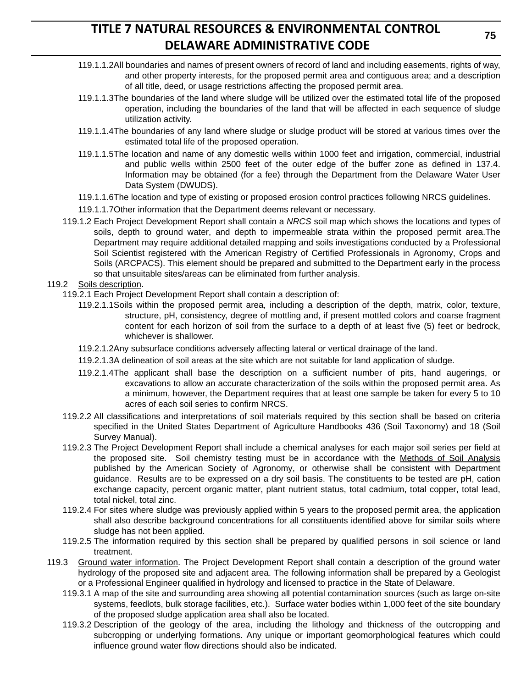- 119.1.1.2All boundaries and names of present owners of record of land and including easements, rights of way, and other property interests, for the proposed permit area and contiguous area; and a description of all title, deed, or usage restrictions affecting the proposed permit area.
- 119.1.1.3The boundaries of the land where sludge will be utilized over the estimated total life of the proposed operation, including the boundaries of the land that will be affected in each sequence of sludge utilization activity.
- 119.1.1.4The boundaries of any land where sludge or sludge product will be stored at various times over the estimated total life of the proposed operation.
- 119.1.1.5The location and name of any domestic wells within 1000 feet and irrigation, commercial, industrial and public wells within 2500 feet of the outer edge of the buffer zone as defined in 137.4. Information may be obtained (for a fee) through the Department from the Delaware Water User Data System (DWUDS).
- 119.1.1.6The location and type of existing or proposed erosion control practices following NRCS guidelines.
- 119.1.1.7Other information that the Department deems relevant or necessary.
- 119.1.2 Each Project Development Report shall contain a *NRCS* soil map which shows the locations and types of soils, depth to ground water, and depth to impermeable strata within the proposed permit area.The Department may require additional detailed mapping and soils investigations conducted by a Professional Soil Scientist registered with the American Registry of Certified Professionals in Agronomy, Crops and Soils (ARCPACS). This element should be prepared and submitted to the Department early in the process so that unsuitable sites/areas can be eliminated from further analysis.

#### 119.2 Soils description.

- 119.2.1 Each Project Development Report shall contain a description of:
	- 119.2.1.1Soils within the proposed permit area, including a description of the depth, matrix, color, texture, structure, pH, consistency, degree of mottling and, if present mottled colors and coarse fragment content for each horizon of soil from the surface to a depth of at least five (5) feet or bedrock, whichever is shallower.
	- 119.2.1.2Any subsurface conditions adversely affecting lateral or vertical drainage of the land.
	- 119.2.1.3A delineation of soil areas at the site which are not suitable for land application of sludge.
	- 119.2.1.4The applicant shall base the description on a sufficient number of pits, hand augerings, or excavations to allow an accurate characterization of the soils within the proposed permit area. As a minimum, however, the Department requires that at least one sample be taken for every 5 to 10 acres of each soil series to confirm NRCS.
- 119.2.2 All classifications and interpretations of soil materials required by this section shall be based on criteria specified in the United States Department of Agriculture Handbooks 436 (Soil Taxonomy) and 18 (Soil Survey Manual).
- 119.2.3 The Project Development Report shall include a chemical analyses for each major soil series per field at the proposed site. Soil chemistry testing must be in accordance with the Methods of Soil Analysis published by the American Society of Agronomy, or otherwise shall be consistent with Department guidance. Results are to be expressed on a dry soil basis. The constituents to be tested are pH, cation exchange capacity, percent organic matter, plant nutrient status, total cadmium, total copper, total lead, total nickel, total zinc.
- 119.2.4 For sites where sludge was previously applied within 5 years to the proposed permit area, the application shall also describe background concentrations for all constituents identified above for similar soils where sludge has not been applied.
- 119.2.5 The information required by this section shall be prepared by qualified persons in soil science or land treatment.
- 119.3 Ground water information. The Project Development Report shall contain a description of the ground water hydrology of the proposed site and adjacent area. The following information shall be prepared by a Geologist or a Professional Engineer qualified in hydrology and licensed to practice in the State of Delaware.
	- 119.3.1 A map of the site and surrounding area showing all potential contamination sources (such as large on-site systems, feedlots, bulk storage facilities, etc.). Surface water bodies within 1,000 feet of the site boundary of the proposed sludge application area shall also be located.
	- 119.3.2 Description of the geology of the area, including the lithology and thickness of the outcropping and subcropping or underlying formations. Any unique or important geomorphological features which could influence ground water flow directions should also be indicated.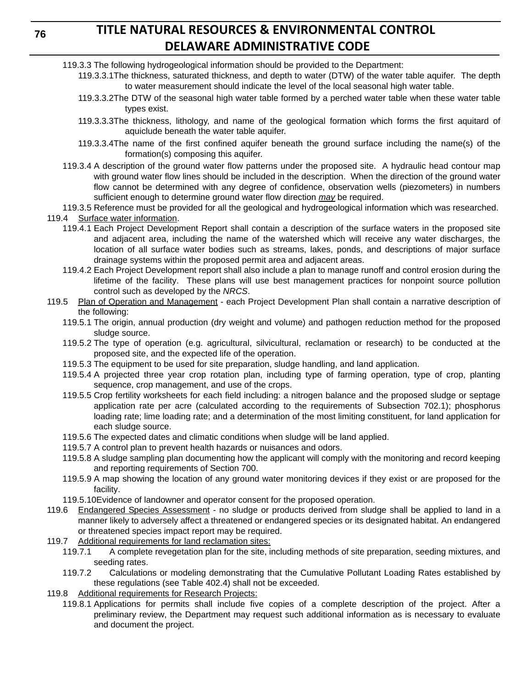- 119.3.3 The following hydrogeological information should be provided to the Department:
	- 119.3.3.1The thickness, saturated thickness, and depth to water (DTW) of the water table aquifer. The depth to water measurement should indicate the level of the local seasonal high water table.
	- 119.3.3.2The DTW of the seasonal high water table formed by a perched water table when these water table types exist.
	- 119.3.3.3The thickness, lithology, and name of the geological formation which forms the first aquitard of aquiclude beneath the water table aquifer.
	- 119.3.3.4The name of the first confined aquifer beneath the ground surface including the name(s) of the formation(s) composing this aquifer.
- 119.3.4 A description of the ground water flow patterns under the proposed site. A hydraulic head contour map with ground water flow lines should be included in the description. When the direction of the ground water flow cannot be determined with any degree of confidence, observation wells (piezometers) in numbers sufficient enough to determine ground water flow direction *may* be required.
- 119.3.5 Reference must be provided for all the geological and hydrogeological information which was researched. 119.4 Surface water information.
	- 119.4.1 Each Project Development Report shall contain a description of the surface waters in the proposed site and adjacent area, including the name of the watershed which will receive any water discharges, the location of all surface water bodies such as streams, lakes, ponds, and descriptions of major surface drainage systems within the proposed permit area and adjacent areas.
	- 119.4.2 Each Project Development report shall also include a plan to manage runoff and control erosion during the lifetime of the facility. These plans will use best management practices for nonpoint source pollution control such as developed by the *NRCS*.
- 119.5 Plan of Operation and Management each Project Development Plan shall contain a narrative description of the following:
	- 119.5.1 The origin, annual production (dry weight and volume) and pathogen reduction method for the proposed sludge source.
	- 119.5.2 The type of operation (e.g. agricultural, silvicultural, reclamation or research) to be conducted at the proposed site, and the expected life of the operation.
	- 119.5.3 The equipment to be used for site preparation, sludge handling, and land application.
	- 119.5.4 A projected three year crop rotation plan, including type of farming operation, type of crop, planting sequence, crop management, and use of the crops.
	- 119.5.5 Crop fertility worksheets for each field including: a nitrogen balance and the proposed sludge or septage application rate per acre (calculated according to the requirements of Subsection 702.1); phosphorus loading rate; lime loading rate; and a determination of the most limiting constituent, for land application for each sludge source.
	- 119.5.6 The expected dates and climatic conditions when sludge will be land applied.
	- 119.5.7 A control plan to prevent health hazards or nuisances and odors.
	- 119.5.8 A sludge sampling plan documenting how the applicant will comply with the monitoring and record keeping and reporting requirements of Section 700.
	- 119.5.9 A map showing the location of any ground water monitoring devices if they exist or are proposed for the facility.
	- 119.5.10Evidence of landowner and operator consent for the proposed operation.
- 119.6 Endangered Species Assessment no sludge or products derived from sludge shall be applied to land in a manner likely to adversely affect a threatened or endangered species or its designated habitat. An endangered or threatened species impact report may be required.
- 119.7 Additional requirements for land reclamation sites:
	- 119.7.1 A complete revegetation plan for the site, including methods of site preparation, seeding mixtures, and seeding rates.
	- 119.7.2 Calculations or modeling demonstrating that the Cumulative Pollutant Loading Rates established by these regulations (see Table 402.4) shall not be exceeded.
- 119.8 Additional requirements for Research Projects:
	- 119.8.1 Applications for permits shall include five copies of a complete description of the project. After a preliminary review, the Department may request such additional information as is necessary to evaluate and document the project.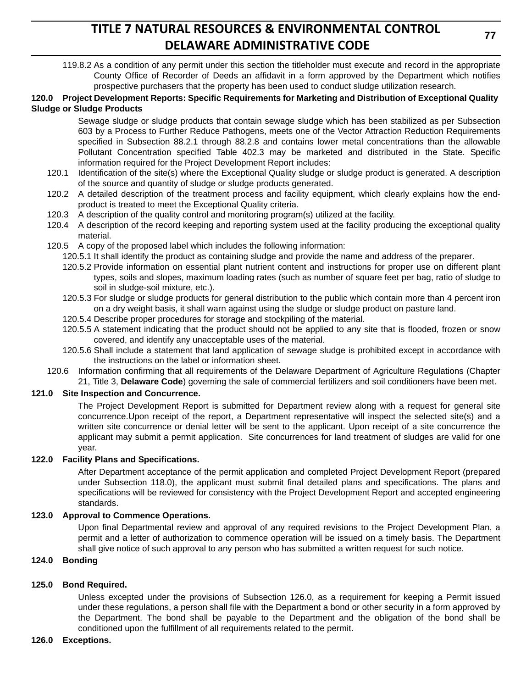119.8.2 As a condition of any permit under this section the titleholder must execute and record in the appropriate County Office of Recorder of Deeds an affidavit in a form approved by the Department which notifies prospective purchasers that the property has been used to conduct sludge utilization research.

#### **120.0 Project Development Reports: Specific Requirements for Marketing and Distribution of Exceptional Quality Sludge or Sludge Products**

Sewage sludge or sludge products that contain sewage sludge which has been stabilized as per Subsection 603 by a Process to Further Reduce Pathogens, meets one of the Vector Attraction Reduction Requirements specified in Subsection 88.2.1 through 88.2.8 and contains lower metal concentrations than the allowable Pollutant Concentration specified Table 402.3 may be marketed and distributed in the State. Specific information required for the Project Development Report includes:

- 120.1 Identification of the site(s) where the Exceptional Quality sludge or sludge product is generated. A description of the source and quantity of sludge or sludge products generated.
- 120.2 A detailed description of the treatment process and facility equipment, which clearly explains how the endproduct is treated to meet the Exceptional Quality criteria.
- 120.3 A description of the quality control and monitoring program(s) utilized at the facility.
- 120.4 A description of the record keeping and reporting system used at the facility producing the exceptional quality material.
- 120.5 A copy of the proposed label which includes the following information:
	- 120.5.1 It shall identify the product as containing sludge and provide the name and address of the preparer.
	- 120.5.2 Provide information on essential plant nutrient content and instructions for proper use on different plant types, soils and slopes, maximum loading rates (such as number of square feet per bag, ratio of sludge to soil in sludge-soil mixture, etc.).
	- 120.5.3 For sludge or sludge products for general distribution to the public which contain more than 4 percent iron on a dry weight basis, it shall warn against using the sludge or sludge product on pasture land.
	- 120.5.4 Describe proper procedures for storage and stockpiling of the material.
	- 120.5.5 A statement indicating that the product should not be applied to any site that is flooded, frozen or snow covered, and identify any unacceptable uses of the material.
	- 120.5.6 Shall include a statement that land application of sewage sludge is prohibited except in accordance with the instructions on the label or information sheet.
- 120.6 Information confirming that all requirements of the Delaware Department of Agriculture Regulations (Chapter 21, Title 3, **Delaware Code**) governing the sale of commercial fertilizers and soil conditioners have been met.

### **121.0 Site Inspection and Concurrence.**

The Project Development Report is submitted for Department review along with a request for general site concurrence.Upon receipt of the report, a Department representative will inspect the selected site(s) and a written site concurrence or denial letter will be sent to the applicant. Upon receipt of a site concurrence the applicant may submit a permit application. Site concurrences for land treatment of sludges are valid for one year.

#### **122.0 Facility Plans and Specifications.**

After Department acceptance of the permit application and completed Project Development Report (prepared under Subsection 118.0), the applicant must submit final detailed plans and specifications. The plans and specifications will be reviewed for consistency with the Project Development Report and accepted engineering standards.

### **123.0 Approval to Commence Operations.**

Upon final Departmental review and approval of any required revisions to the Project Development Plan, a permit and a letter of authorization to commence operation will be issued on a timely basis. The Department shall give notice of such approval to any person who has submitted a written request for such notice.

### **124.0 Bonding**

### **125.0 Bond Required.**

Unless excepted under the provisions of Subsection 126.0, as a requirement for keeping a Permit issued under these regulations, a person shall file with the Department a bond or other security in a form approved by the Department. The bond shall be payable to the Department and the obligation of the bond shall be conditioned upon the fulfillment of all requirements related to the permit.

#### **126.0 Exceptions.**

**77**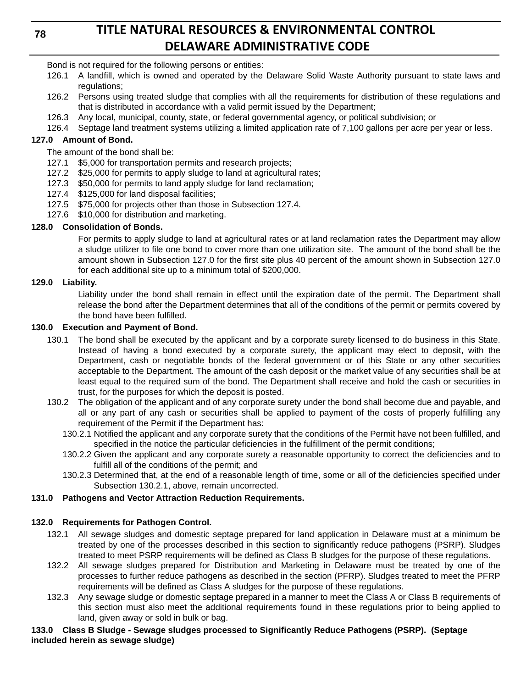**78**

# **TITLE NATURAL RESOURCES & ENVIRONMENTAL CONTROL DELAWARE ADMINISTRATIVE CODE**

Bond is not required for the following persons or entities:

- 126.1 A landfill, which is owned and operated by the Delaware Solid Waste Authority pursuant to state laws and regulations;
- 126.2 Persons using treated sludge that complies with all the requirements for distribution of these regulations and that is distributed in accordance with a valid permit issued by the Department;
- 126.3 Any local, municipal, county, state, or federal governmental agency, or political subdivision; or
- 126.4 Septage land treatment systems utilizing a limited application rate of 7,100 gallons per acre per year or less.

## **127.0 Amount of Bond.**

The amount of the bond shall be:

- 127.1 \$5,000 for transportation permits and research projects;
- 127.2 \$25,000 for permits to apply sludge to land at agricultural rates;
- 127.3 \$50,000 for permits to land apply sludge for land reclamation;
- 127.4 \$125,000 for land disposal facilities;
- 127.5 \$75,000 for projects other than those in Subsection 127.4.
- 127.6 \$10,000 for distribution and marketing.

## **128.0 Consolidation of Bonds.**

For permits to apply sludge to land at agricultural rates or at land reclamation rates the Department may allow a sludge utilizer to file one bond to cover more than one utilization site. The amount of the bond shall be the amount shown in Subsection 127.0 for the first site plus 40 percent of the amount shown in Subsection 127.0 for each additional site up to a minimum total of \$200,000.

### **129.0 Liability.**

Liability under the bond shall remain in effect until the expiration date of the permit. The Department shall release the bond after the Department determines that all of the conditions of the permit or permits covered by the bond have been fulfilled.

### **130.0 Execution and Payment of Bond.**

- 130.1 The bond shall be executed by the applicant and by a corporate surety licensed to do business in this State. Instead of having a bond executed by a corporate surety, the applicant may elect to deposit, with the Department, cash or negotiable bonds of the federal government or of this State or any other securities acceptable to the Department. The amount of the cash deposit or the market value of any securities shall be at least equal to the required sum of the bond. The Department shall receive and hold the cash or securities in trust, for the purposes for which the deposit is posted.
- 130.2 The obligation of the applicant and of any corporate surety under the bond shall become due and payable, and all or any part of any cash or securities shall be applied to payment of the costs of properly fulfilling any requirement of the Permit if the Department has:
	- 130.2.1 Notified the applicant and any corporate surety that the conditions of the Permit have not been fulfilled, and specified in the notice the particular deficiencies in the fulfillment of the permit conditions;
	- 130.2.2 Given the applicant and any corporate surety a reasonable opportunity to correct the deficiencies and to fulfill all of the conditions of the permit; and
	- 130.2.3 Determined that, at the end of a reasonable length of time, some or all of the deficiencies specified under Subsection 130.2.1, above, remain uncorrected.

## **131.0 Pathogens and Vector Attraction Reduction Requirements.**

## **132.0 Requirements for Pathogen Control.**

- 132.1 All sewage sludges and domestic septage prepared for land application in Delaware must at a minimum be treated by one of the processes described in this section to significantly reduce pathogens (PSRP). Sludges treated to meet PSRP requirements will be defined as Class B sludges for the purpose of these regulations.
- 132.2 All sewage sludges prepared for Distribution and Marketing in Delaware must be treated by one of the processes to further reduce pathogens as described in the section (PFRP). Sludges treated to meet the PFRP requirements will be defined as Class A sludges for the purpose of these regulations.
- 132.3 Any sewage sludge or domestic septage prepared in a manner to meet the Class A or Class B requirements of this section must also meet the additional requirements found in these regulations prior to being applied to land, given away or sold in bulk or bag.

### **133.0 Class B Sludge - Sewage sludges processed to Significantly Reduce Pathogens (PSRP). (Septage included herein as sewage sludge)**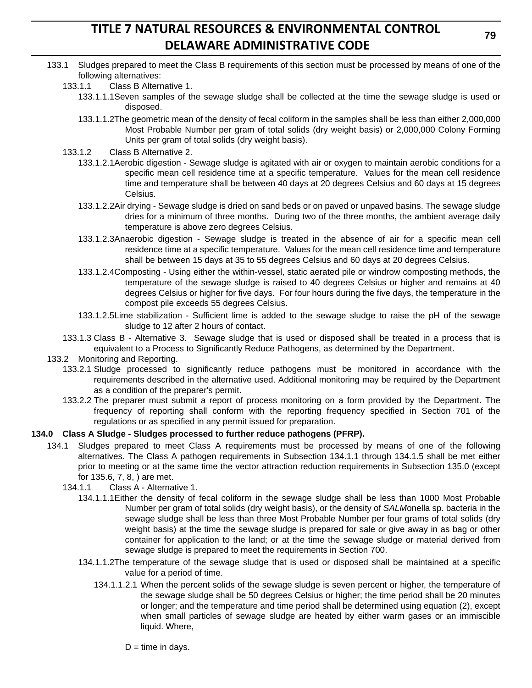- 133.1 Sludges prepared to meet the Class B requirements of this section must be processed by means of one of the following alternatives:
	- 133.1.1 Class B Alternative 1.
		- 133.1.1.1Seven samples of the sewage sludge shall be collected at the time the sewage sludge is used or disposed.
		- 133.1.1.2The geometric mean of the density of fecal coliform in the samples shall be less than either 2,000,000 Most Probable Number per gram of total solids (dry weight basis) or 2,000,000 Colony Forming Units per gram of total solids (dry weight basis).
	- 133.1.2 Class B Alternative 2.
		- 133.1.2.1Aerobic digestion Sewage sludge is agitated with air or oxygen to maintain aerobic conditions for a specific mean cell residence time at a specific temperature. Values for the mean cell residence time and temperature shall be between 40 days at 20 degrees Celsius and 60 days at 15 degrees Celsius.
		- 133.1.2.2Air drying Sewage sludge is dried on sand beds or on paved or unpaved basins. The sewage sludge dries for a minimum of three months. During two of the three months, the ambient average daily temperature is above zero degrees Celsius.
		- 133.1.2.3Anaerobic digestion Sewage sludge is treated in the absence of air for a specific mean cell residence time at a specific temperature. Values for the mean cell residence time and temperature shall be between 15 days at 35 to 55 degrees Celsius and 60 days at 20 degrees Celsius.
		- 133.1.2.4Composting Using either the within-vessel, static aerated pile or windrow composting methods, the temperature of the sewage sludge is raised to 40 degrees Celsius or higher and remains at 40 degrees Celsius or higher for five days. For four hours during the five days, the temperature in the compost pile exceeds 55 degrees Celsius.
		- 133.1.2.5Lime stabilization Sufficient lime is added to the sewage sludge to raise the pH of the sewage sludge to 12 after 2 hours of contact.
	- 133.1.3 Class B Alternative 3. Sewage sludge that is used or disposed shall be treated in a process that is equivalent to a Process to Significantly Reduce Pathogens, as determined by the Department.
- 133.2 Monitoring and Reporting.
	- 133.2.1 Sludge processed to significantly reduce pathogens must be monitored in accordance with the requirements described in the alternative used. Additional monitoring may be required by the Department as a condition of the preparer's permit.
	- 133.2.2 The preparer must submit a report of process monitoring on a form provided by the Department. The frequency of reporting shall conform with the reporting frequency specified in Section 701 of the regulations or as specified in any permit issued for preparation.

#### **134.0 Class A Sludge - Sludges processed to further reduce pathogens (PFRP).**

- 134.1 Sludges prepared to meet Class A requirements must be processed by means of one of the following alternatives. The Class A pathogen requirements in Subsection 134.1.1 through 134.1.5 shall be met either prior to meeting or at the same time the vector attraction reduction requirements in Subsection 135.0 (except for 135.6, 7, 8, ) are met.
	- 134.1.1 Class A Alternative 1.
		- 134.1.1.1Either the density of fecal coliform in the sewage sludge shall be less than 1000 Most Probable Number per gram of total solids (dry weight basis), or the density of *SALM*onella sp. bacteria in the sewage sludge shall be less than three Most Probable Number per four grams of total solids (dry weight basis) at the time the sewage sludge is prepared for sale or give away in as bag or other container for application to the land; or at the time the sewage sludge or material derived from sewage sludge is prepared to meet the requirements in Section 700.
		- 134.1.1.2The temperature of the sewage sludge that is used or disposed shall be maintained at a specific value for a period of time.
			- 134.1.1.2.1 When the percent solids of the sewage sludge is seven percent or higher, the temperature of the sewage sludge shall be 50 degrees Celsius or higher; the time period shall be 20 minutes or longer; and the temperature and time period shall be determined using equation (2), except when small particles of sewage sludge are heated by either warm gases or an immiscible liquid. Where,

 $D =$  time in days.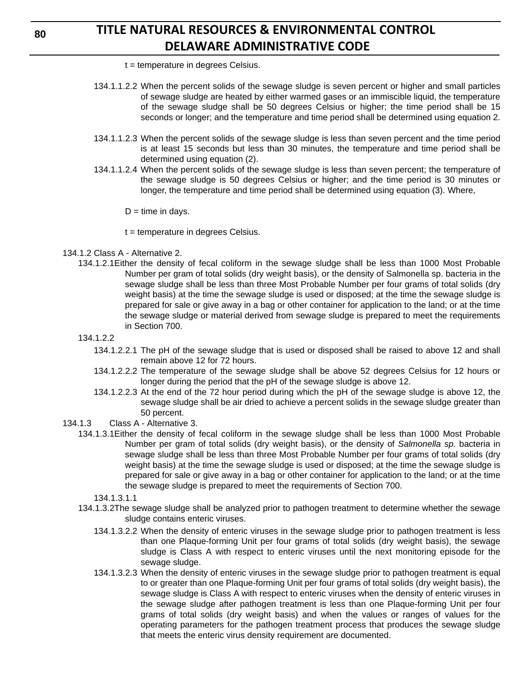- t = temperature in degrees Celsius.
- 134.1.1.2.2 When the percent solids of the sewage sludge is seven percent or higher and small particles of sewage sludge are heated by either warmed gases or an immiscible liquid, the temperature of the sewage sludge shall be 50 degrees Celsius or higher; the time period shall be 15 seconds or longer; and the temperature and time period shall be determined using equation 2.
- 134.1.1.2.3 When the percent solids of the sewage sludge is less than seven percent and the time period is at least 15 seconds but less than 30 minutes, the temperature and time period shall be determined using equation (2).
- 134.1.1.2.4 When the percent solids of the sewage sludge is less than seven percent; the temperature of the sewage sludge is 50 degrees Celsius or higher; and the time period is 30 minutes or longer, the temperature and time period shall be determined using equation (3). Where,

 $D =$  time in days.

- t = temperature in degrees Celsius.
- 134.1.2 Class A Alternative 2.
	- 134.1.2.1Either the density of fecal coliform in the sewage sludge shall be less than 1000 Most Probable Number per gram of total solids (dry weight basis), or the density of Salmonella sp. bacteria in the sewage sludge shall be less than three Most Probable Number per four grams of total solids (dry weight basis) at the time the sewage sludge is used or disposed; at the time the sewage sludge is prepared for sale or give away in a bag or other container for application to the land; or at the time the sewage sludge or material derived from sewage sludge is prepared to meet the requirements in Section 700.
	- 134.1.2.2
		- 134.1.2.2.1 The pH of the sewage sludge that is used or disposed shall be raised to above 12 and shall remain above 12 for 72 hours.
		- 134.1.2.2.2 The temperature of the sewage sludge shall be above 52 degrees Celsius for 12 hours or longer during the period that the pH of the sewage sludge is above 12.
		- 134.1.2.2.3 At the end of the 72 hour period during which the pH of the sewage sludge is above 12, the sewage sludge shall be air dried to achieve a percent solids in the sewage sludge greater than 50 percent.
- 134.1.3 Class A Alternative 3.
	- 134.1.3.1Either the density of fecal coliform in the sewage sludge shall be less than 1000 Most Probable Number per gram of total solids (dry weight basis), or the density of *Salmonella sp.* bacteria in sewage sludge shall be less than three Most Probable Number per four grams of total solids (dry weight basis) at the time the sewage sludge is used or disposed; at the time the sewage sludge is prepared for sale or give away in a bag or other container for application to the land; or at the time the sewage sludge is prepared to meet the requirements of Section 700.

134.1.3.1.1

- 134.1.3.2The sewage sludge shall be analyzed prior to pathogen treatment to determine whether the sewage sludge contains enteric viruses.
	- 134.1.3.2.2 When the density of enteric viruses in the sewage sludge prior to pathogen treatment is less than one Plaque-forming Unit per four grams of total solids (dry weight basis), the sewage sludge is Class A with respect to enteric viruses until the next monitoring episode for the sewage sludge.
	- 134.1.3.2.3 When the density of enteric viruses in the sewage sludge prior to pathogen treatment is equal to or greater than one Plaque-forming Unit per four grams of total solids (dry weight basis), the sewage sludge is Class A with respect to enteric viruses when the density of enteric viruses in the sewage sludge after pathogen treatment is less than one Plaque-forming Unit per four grams of total solids (dry weight basis) and when the values or ranges of values for the operating parameters for the pathogen treatment process that produces the sewage sludge that meets the enteric virus density requirement are documented.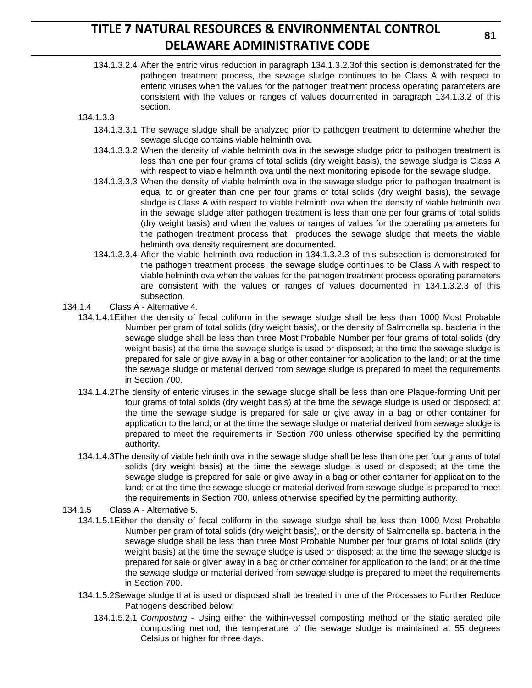134.1.3.2.4 After the entric virus reduction in paragraph 134.1.3.2.3of this section is demonstrated for the pathogen treatment process, the sewage sludge continues to be Class A with respect to enteric viruses when the values for the pathogen treatment process operating parameters are consistent with the values or ranges of values documented in paragraph 134.1.3.2 of this section.

#### 134.1.3.3

- 134.1.3.3.1 The sewage sludge shall be analyzed prior to pathogen treatment to determine whether the sewage sludge contains viable helminth ova.
- 134.1.3.3.2 When the density of viable helminth ova in the sewage sludge prior to pathogen treatment is less than one per four grams of total solids (dry weight basis), the sewage sludge is Class A with respect to viable helminth ova until the next monitoring episode for the sewage sludge.
- 134.1.3.3.3 When the density of viable helminth ova in the sewage sludge prior to pathogen treatment is equal to or greater than one per four grams of total solids (dry weight basis), the sewage sludge is Class A with respect to viable helminth ova when the density of viable helminth ova in the sewage sludge after pathogen treatment is less than one per four grams of total solids (dry weight basis) and when the values or ranges of values for the operating parameters for the pathogen treatment process that produces the sewage sludge that meets the viable helminth ova density requirement are documented.
- 134.1.3.3.4 After the viable helminth ova reduction in 134.1.3.2.3 of this subsection is demonstrated for the pathogen treatment process, the sewage sludge continues to be Class A with respect to viable helminth ova when the values for the pathogen treatment process operating parameters are consistent with the values or ranges of values documented in 134.1.3.2.3 of this subsection.
- 134.1.4 Class A Alternative 4.
	- 134.1.4.1Either the density of fecal coliform in the sewage sludge shall be less than 1000 Most Probable Number per gram of total solids (dry weight basis), or the density of Salmonella sp. bacteria in the sewage sludge shall be less than three Most Probable Number per four grams of total solids (dry weight basis) at the time the sewage sludge is used or disposed; at the time the sewage sludge is prepared for sale or give away in a bag or other container for application to the land; or at the time the sewage sludge or material derived from sewage sludge is prepared to meet the requirements in Section 700.
	- 134.1.4.2The density of enteric viruses in the sewage sludge shall be less than one Plaque-forming Unit per four grams of total solids (dry weight basis) at the time the sewage sludge is used or disposed; at the time the sewage sludge is prepared for sale or give away in a bag or other container for application to the land; or at the time the sewage sludge or material derived from sewage sludge is prepared to meet the requirements in Section 700 unless otherwise specified by the permitting authority.
	- 134.1.4.3The density of viable helminth ova in the sewage sludge shall be less than one per four grams of total solids (dry weight basis) at the time the sewage sludge is used or disposed; at the time the sewage sludge is prepared for sale or give away in a bag or other container for application to the land; or at the time the sewage sludge or material derived from sewage sludge is prepared to meet the requirements in Section 700, unless otherwise specified by the permitting authority.
- 134.1.5 Class A Alternative 5.
	- 134.1.5.1Either the density of fecal coliform in the sewage sludge shall be less than 1000 Most Probable Number per gram of total solids (dry weight basis), or the density of Salmonella sp. bacteria in the sewage sludge shall be less than three Most Probable Number per four grams of total solids (dry weight basis) at the time the sewage sludge is used or disposed; at the time the sewage sludge is prepared for sale or given away in a bag or other container for application to the land; or at the time the sewage sludge or material derived from sewage sludge is prepared to meet the requirements in Section 700.
	- 134.1.5.2Sewage sludge that is used or disposed shall be treated in one of the Processes to Further Reduce Pathogens described below:
		- 134.1.5.2.1 *Composting*  Using either the within-vessel composting method or the static aerated pile composting method, the temperature of the sewage sludge is maintained at 55 degrees Celsius or higher for three days.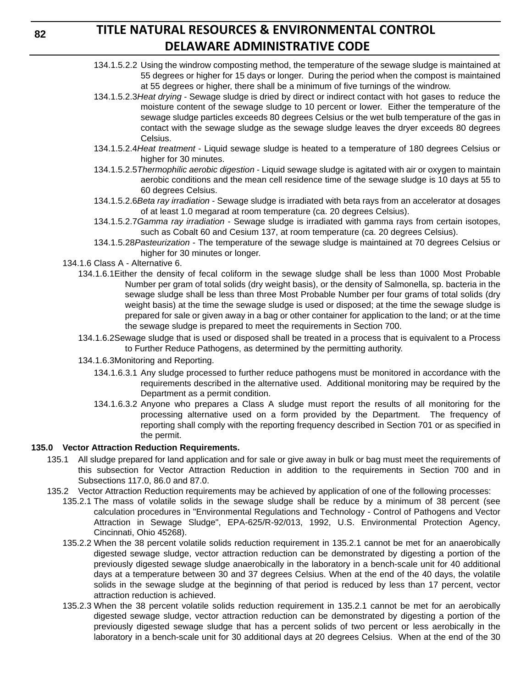- 134.1.5.2.2 Using the windrow composting method, the temperature of the sewage sludge is maintained at 55 degrees or higher for 15 days or longer. During the period when the compost is maintained at 55 degrees or higher, there shall be a minimum of five turnings of the windrow.
- 134.1.5.2.3*Heat drying* Sewage sludge is dried by direct or indirect contact with hot gases to reduce the moisture content of the sewage sludge to 10 percent or lower. Either the temperature of the sewage sludge particles exceeds 80 degrees Celsius or the wet bulb temperature of the gas in contact with the sewage sludge as the sewage sludge leaves the dryer exceeds 80 degrees Celsius.
- 134.1.5.2.4*Heat treatment* Liquid sewage sludge is heated to a temperature of 180 degrees Celsius or higher for 30 minutes.
- 134.1.5.2.5*Thermophilic aerobic digestion* Liquid sewage sludge is agitated with air or oxygen to maintain aerobic conditions and the mean cell residence time of the sewage sludge is 10 days at 55 to 60 degrees Celsius.
- 134.1.5.2.6*Beta ray irradiation* Sewage sludge is irradiated with beta rays from an accelerator at dosages of at least 1.0 megarad at room temperature (ca. 20 degrees Celsius).
- 134.1.5.2.7*Gamma ray irradiation* Sewage sludge is irradiated with gamma rays from certain isotopes, such as Cobalt 60 and Cesium 137, at room temperature (ca. 20 degrees Celsius).
- 134.1.5.28*Pasteurization* The temperature of the sewage sludge is maintained at 70 degrees Celsius or higher for 30 minutes or longer.
- 134.1.6 Class A Alternative 6.
	- 134.1.6.1Either the density of fecal coliform in the sewage sludge shall be less than 1000 Most Probable Number per gram of total solids (dry weight basis), or the density of Salmonella, sp. bacteria in the sewage sludge shall be less than three Most Probable Number per four grams of total solids (dry weight basis) at the time the sewage sludge is used or disposed; at the time the sewage sludge is prepared for sale or given away in a bag or other container for application to the land; or at the time the sewage sludge is prepared to meet the requirements in Section 700.
	- 134.1.6.2Sewage sludge that is used or disposed shall be treated in a process that is equivalent to a Process to Further Reduce Pathogens, as determined by the permitting authority.
	- 134.1.6.3Monitoring and Reporting.
		- 134.1.6.3.1 Any sludge processed to further reduce pathogens must be monitored in accordance with the requirements described in the alternative used. Additional monitoring may be required by the Department as a permit condition.
		- 134.1.6.3.2 Anyone who prepares a Class A sludge must report the results of all monitoring for the processing alternative used on a form provided by the Department. The frequency of reporting shall comply with the reporting frequency described in Section 701 or as specified in the permit.

### **135.0 Vector Attraction Reduction Requirements.**

- 135.1 All sludge prepared for land application and for sale or give away in bulk or bag must meet the requirements of this subsection for Vector Attraction Reduction in addition to the requirements in Section 700 and in Subsections 117.0, 86.0 and 87.0.
- 135.2 Vector Attraction Reduction requirements may be achieved by application of one of the following processes:
	- 135.2.1 The mass of volatile solids in the sewage sludge shall be reduce by a minimum of 38 percent (see calculation procedures in "Environmental Regulations and Technology - Control of Pathogens and Vector Attraction in Sewage Sludge", EPA-625/R-92/013, 1992, U.S. Environmental Protection Agency, Cincinnati, Ohio 45268).
	- 135.2.2 When the 38 percent volatile solids reduction requirement in 135.2.1 cannot be met for an anaerobically digested sewage sludge, vector attraction reduction can be demonstrated by digesting a portion of the previously digested sewage sludge anaerobically in the laboratory in a bench-scale unit for 40 additional days at a temperature between 30 and 37 degrees Celsius. When at the end of the 40 days, the volatile solids in the sewage sludge at the beginning of that period is reduced by less than 17 percent, vector attraction reduction is achieved.
	- 135.2.3 When the 38 percent volatile solids reduction requirement in 135.2.1 cannot be met for an aerobically digested sewage sludge, vector attraction reduction can be demonstrated by digesting a portion of the previously digested sewage sludge that has a percent solids of two percent or less aerobically in the laboratory in a bench-scale unit for 30 additional days at 20 degrees Celsius. When at the end of the 30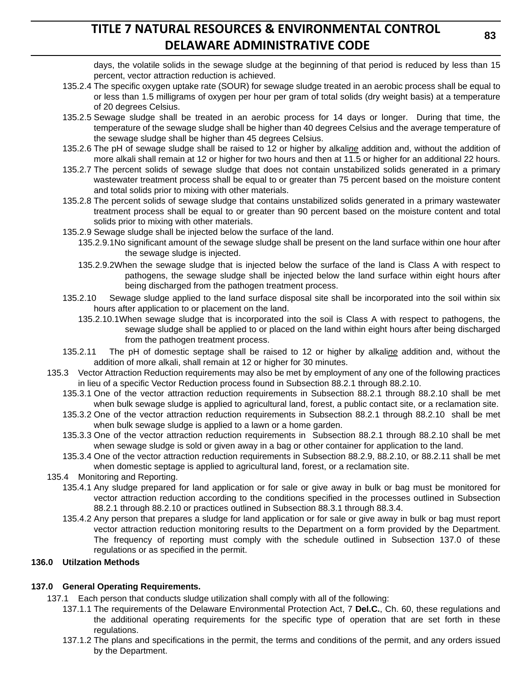days, the volatile solids in the sewage sludge at the beginning of that period is reduced by less than 15 percent, vector attraction reduction is achieved.

- 135.2.4 The specific oxygen uptake rate (SOUR) for sewage sludge treated in an aerobic process shall be equal to or less than 1.5 milligrams of oxygen per hour per gram of total solids (dry weight basis) at a temperature of 20 degrees Celsius.
- 135.2.5 Sewage sludge shall be treated in an aerobic process for 14 days or longer. During that time, the temperature of the sewage sludge shall be higher than 40 degrees Celsius and the average temperature of the sewage sludge shall be higher than 45 degrees Celsius.
- 135.2.6 The pH of sewage sludge shall be raised to 12 or higher by alkali*ne* addition and, without the addition of more alkali shall remain at 12 or higher for two hours and then at 11.5 or higher for an additional 22 hours.
- 135.2.7 The percent solids of sewage sludge that does not contain unstabilized solids generated in a primary wastewater treatment process shall be equal to or greater than 75 percent based on the moisture content and total solids prior to mixing with other materials.
- 135.2.8 The percent solids of sewage sludge that contains unstabilized solids generated in a primary wastewater treatment process shall be equal to or greater than 90 percent based on the moisture content and total solids prior to mixing with other materials.
- 135.2.9 Sewage sludge shall be injected below the surface of the land.
	- 135.2.9.1No significant amount of the sewage sludge shall be present on the land surface within one hour after the sewage sludge is injected.
	- 135.2.9.2When the sewage sludge that is injected below the surface of the land is Class A with respect to pathogens, the sewage sludge shall be injected below the land surface within eight hours after being discharged from the pathogen treatment process.
- 135.2.10 Sewage sludge applied to the land surface disposal site shall be incorporated into the soil within six hours after application to or placement on the land.
	- 135.2.10.1When sewage sludge that is incorporated into the soil is Class A with respect to pathogens, the sewage sludge shall be applied to or placed on the land within eight hours after being discharged from the pathogen treatment process.
- 135.2.11 The pH of domestic septage shall be raised to 12 or higher by alkali*ne* addition and, without the addition of more alkali, shall remain at 12 or higher for 30 minutes.
- 135.3 Vector Attraction Reduction requirements may also be met by employment of any one of the following practices in lieu of a specific Vector Reduction process found in Subsection 88.2.1 through 88.2.10.
	- 135.3.1 One of the vector attraction reduction requirements in Subsection 88.2.1 through 88.2.10 shall be met when bulk sewage sludge is applied to agricultural land, forest, a public contact site, or a reclamation site.
	- 135.3.2 One of the vector attraction reduction requirements in Subsection 88.2.1 through 88.2.10 shall be met when bulk sewage sludge is applied to a lawn or a home garden.
	- 135.3.3 One of the vector attraction reduction requirements in Subsection 88.2.1 through 88.2.10 shall be met when sewage sludge is sold or given away in a bag or other container for application to the land.
	- 135.3.4 One of the vector attraction reduction requirements in Subsection 88.2.9, 88.2.10, or 88.2.11 shall be met when domestic septage is applied to agricultural land, forest, or a reclamation site.
- 135.4 Monitoring and Reporting.
	- 135.4.1 Any sludge prepared for land application or for sale or give away in bulk or bag must be monitored for vector attraction reduction according to the conditions specified in the processes outlined in Subsection 88.2.1 through 88.2.10 or practices outlined in Subsection 88.3.1 through 88.3.4.
	- 135.4.2 Any person that prepares a sludge for land application or for sale or give away in bulk or bag must report vector attraction reduction monitoring results to the Department on a form provided by the Department. The frequency of reporting must comply with the schedule outlined in Subsection 137.0 of these regulations or as specified in the permit.

### **136.0 Utilzation Methods**

### **137.0 General Operating Requirements.**

- 137.1 Each person that conducts sludge utilization shall comply with all of the following:
	- 137.1.1 The requirements of the Delaware Environmental Protection Act, 7 **Del.C.**, Ch. 60, these regulations and the additional operating requirements for the specific type of operation that are set forth in these regulations.
	- 137.1.2 The plans and specifications in the permit, the terms and conditions of the permit, and any orders issued by the Department.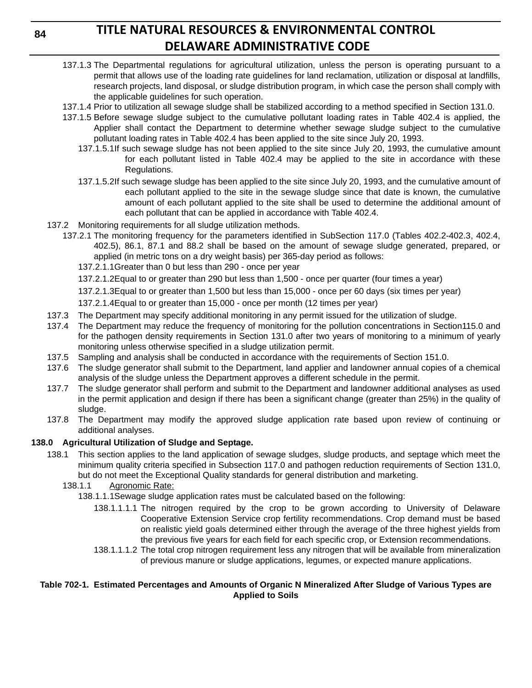- 137.1.3 The Departmental regulations for agricultural utilization, unless the person is operating pursuant to a permit that allows use of the loading rate guidelines for land reclamation, utilization or disposal at landfills, research projects, land disposal, or sludge distribution program, in which case the person shall comply with the applicable guidelines for such operation.
- 137.1.4 Prior to utilization all sewage sludge shall be stabilized according to a method specified in Section 131.0.
- 137.1.5 Before sewage sludge subject to the cumulative pollutant loading rates in Table 402.4 is applied, the Applier shall contact the Department to determine whether sewage sludge subject to the cumulative pollutant loading rates in Table 402.4 has been applied to the site since July 20, 1993.
	- 137.1.5.1If such sewage sludge has not been applied to the site since July 20, 1993, the cumulative amount for each pollutant listed in Table 402.4 may be applied to the site in accordance with these Regulations.
	- 137.1.5.2If such sewage sludge has been applied to the site since July 20, 1993, and the cumulative amount of each pollutant applied to the site in the sewage sludge since that date is known, the cumulative amount of each pollutant applied to the site shall be used to determine the additional amount of each pollutant that can be applied in accordance with Table 402.4.
- 137.2 Monitoring requirements for all sludge utilization methods.
	- 137.2.1 The monitoring frequency for the parameters identified in SubSection 117.0 (Tables 402.2-402.3, 402.4, 402.5), 86.1, 87.1 and 88.2 shall be based on the amount of sewage sludge generated, prepared, or applied (in metric tons on a dry weight basis) per 365-day period as follows:
		- 137.2.1.1Greater than 0 but less than 290 once per year
		- 137.2.1.2Equal to or greater than 290 but less than 1,500 once per quarter (four times a year)
		- 137.2.1.3Equal to or greater than 1,500 but less than 15,000 once per 60 days (six times per year)
		- 137.2.1.4Equal to or greater than 15,000 once per month (12 times per year)
- 137.3 The Department may specify additional monitoring in any permit issued for the utilization of sludge.
- 137.4 The Department may reduce the frequency of monitoring for the pollution concentrations in Section115.0 and for the pathogen density requirements in Section 131.0 after two years of monitoring to a minimum of yearly monitoring unless otherwise specified in a sludge utilization permit.
- 137.5 Sampling and analysis shall be conducted in accordance with the requirements of Section 151.0.
- 137.6 The sludge generator shall submit to the Department, land applier and landowner annual copies of a chemical analysis of the sludge unless the Department approves a different schedule in the permit.
- 137.7 The sludge generator shall perform and submit to the Department and landowner additional analyses as used in the permit application and design if there has been a significant change (greater than 25%) in the quality of sludge.
- 137.8 The Department may modify the approved sludge application rate based upon review of continuing or additional analyses.

## **138.0 Agricultural Utilization of Sludge and Septage.**

- 138.1 This section applies to the land application of sewage sludges, sludge products, and septage which meet the minimum quality criteria specified in Subsection 117.0 and pathogen reduction requirements of Section 131.0, but do not meet the Exceptional Quality standards for general distribution and marketing.
	- 138.1.1 Agronomic Rate:
		- 138.1.1.1Sewage sludge application rates must be calculated based on the following:
			- 138.1.1.1.1 The nitrogen required by the crop to be grown according to University of Delaware Cooperative Extension Service crop fertility recommendations. Crop demand must be based on realistic yield goals determined either through the average of the three highest yields from the previous five years for each field for each specific crop, or Extension recommendations.
			- 138.1.1.1.2 The total crop nitrogen requirement less any nitrogen that will be available from mineralization of previous manure or sludge applications, legumes, or expected manure applications.

## **Table 702-1. Estimated Percentages and Amounts of Organic N Mineralized After Sludge of Various Types are Applied to Soils**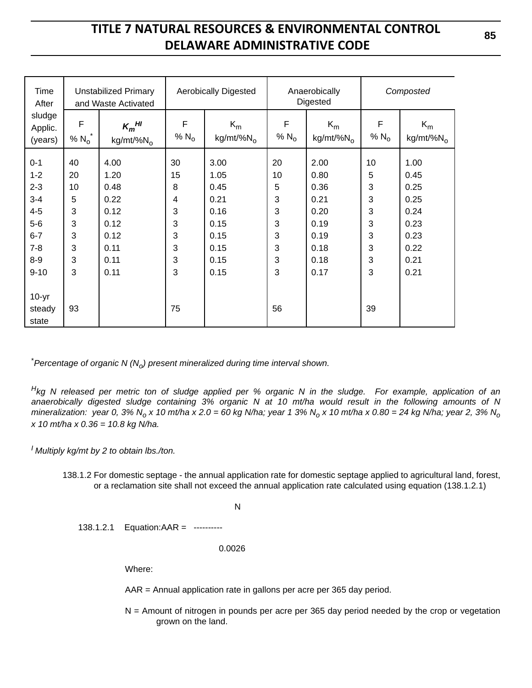| Time<br>After                                                                                           |                                                   | <b>Unstabilized Primary</b><br>and Waste Activated                           |                                                                                   | <b>Aerobically Digested</b>                                                  |                                                  | Anaerobically<br>Digested                                                    |                                                 | Composted                                                                    |
|---------------------------------------------------------------------------------------------------------|---------------------------------------------------|------------------------------------------------------------------------------|-----------------------------------------------------------------------------------|------------------------------------------------------------------------------|--------------------------------------------------|------------------------------------------------------------------------------|-------------------------------------------------|------------------------------------------------------------------------------|
| sludge<br>Applic.<br>(years)                                                                            | F<br>% $N_0$                                      | $K_m$ <sup>HI</sup><br>$kg/mt$ /% $N_0$                                      | F<br>% $N_{o}$                                                                    | $K_m$<br>$kg/mt\%N_0$                                                        | F<br>% $N_{o}$                                   | $K_m$<br>$kg/mt\%N_0$                                                        | F<br>% $N_{o}$                                  | $K_m$<br>$kg/mt\%N_0$                                                        |
| $0 - 1$<br>$1 - 2$<br>$2 - 3$<br>$3 - 4$<br>$4 - 5$<br>$5-6$<br>$6 - 7$<br>$7 - 8$<br>$8-9$<br>$9 - 10$ | 40<br>20<br>10<br>5<br>3<br>3<br>3<br>3<br>3<br>3 | 4.00<br>1.20<br>0.48<br>0.22<br>0.12<br>0.12<br>0.12<br>0.11<br>0.11<br>0.11 | 30<br>15<br>8<br>4<br>3<br>$\sqrt{3}$<br>$\ensuremath{\mathsf{3}}$<br>3<br>3<br>3 | 3.00<br>1.05<br>0.45<br>0.21<br>0.16<br>0.15<br>0.15<br>0.15<br>0.15<br>0.15 | 20<br>10<br>5<br>3<br>3<br>3<br>3<br>3<br>3<br>3 | 2.00<br>0.80<br>0.36<br>0.21<br>0.20<br>0.19<br>0.19<br>0.18<br>0.18<br>0.17 | 10<br>5<br>3<br>3<br>3<br>3<br>3<br>3<br>3<br>3 | 1.00<br>0.45<br>0.25<br>0.25<br>0.24<br>0.23<br>0.23<br>0.22<br>0.21<br>0.21 |
| $10-yr$<br>steady<br>state                                                                              | 93                                                |                                                                              | 75                                                                                |                                                                              | 56                                               |                                                                              | 39                                              |                                                                              |

 $^*$ Percentage of organic N (N<sub>o</sub>) present mineralized during time interval shown.

*Hkg N released per metric ton of sludge applied per % organic N in the sludge. For example, application of an anaerobically digested sludge containing 3% organic N at 10 mt/ha would result in the following amounts of N mineralization:* year 0, 3% N<sub>o</sub> x 10 mt/ha x 2.0 = 60 kg N/ha; year 1 3% N<sub>o</sub> x 10 mt/ha x 0.80 = 24 kg N/ha; year 2, 3% N<sub>o</sub> *x 10 mt/ha x 0.36 = 10.8 kg N/ha.*

*I Multiply kg/mt by 2 to obtain lbs./ton.*

138.1.2 For domestic septage - the annual application rate for domestic septage applied to agricultural land, forest, or a reclamation site shall not exceed the annual application rate calculated using equation (138.1.2.1)

N

138.1.2.1 Equation:AAR = ----------

0.0026

Where:

AAR = Annual application rate in gallons per acre per 365 day period.

N = Amount of nitrogen in pounds per acre per 365 day period needed by the crop or vegetation grown on the land.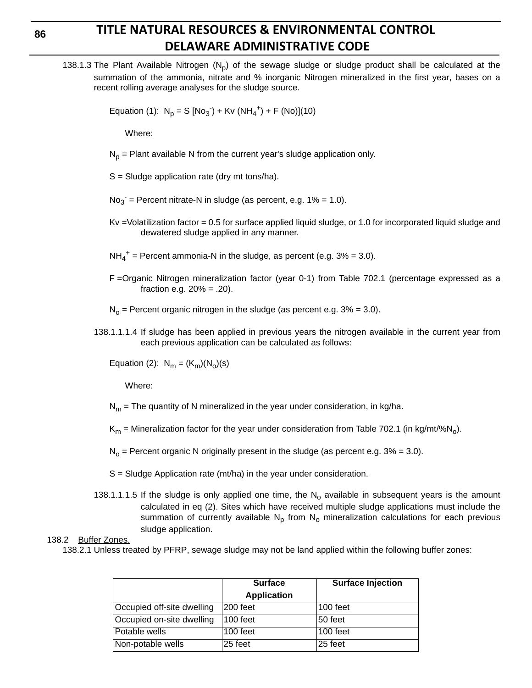138.1.3 The Plant Available Nitrogen  $(N_p)$  of the sewage sludge or sludge product shall be calculated at the summation of the ammonia, nitrate and % inorganic Nitrogen mineralized in the first year, bases on a recent rolling average analyses for the sludge source.

Equation (1):  $N_p = S [No_3] + Kv (NH_4^+) + F (No)](10)$ 

Where:

 $N_p$  = Plant available N from the current year's sludge application only.

- S = Sludge application rate (dry mt tons/ha).
- $No<sub>3</sub>$  = Percent nitrate-N in sludge (as percent, e.g. 1% = 1.0).
- Kv =Volatilization factor = 0.5 for surface applied liquid sludge, or 1.0 for incorporated liquid sludge and dewatered sludge applied in any manner.
- $NH_4^+$  = Percent ammonia-N in the sludge, as percent (e.g. 3% = 3.0).
- F =Organic Nitrogen mineralization factor (year 0-1) from Table 702.1 (percentage expressed as a fraction e.g.  $20% = .20$ ).

 $N_0$  = Percent organic nitrogen in the sludge (as percent e.g.  $3\%$  = 3.0).

138.1.1.1.4 If sludge has been applied in previous years the nitrogen available in the current year from each previous application can be calculated as follows:

Equation (2):  $N_m = (K_m)(N_o)(s)$ 

Where:

 $N_m$  = The quantity of N mineralized in the year under consideration, in kg/ha.

 $K_m$  = Mineralization factor for the year under consideration from Table 702.1 (in kg/mt/%N<sub>0</sub>).

 $N_0$  = Percent organic N originally present in the sludge (as percent e.g. 3% = 3.0).

- S = Sludge Application rate (mt/ha) in the year under consideration.
- 138.1.1.1.5 If the sludge is only applied one time, the  $N_0$  available in subsequent years is the amount calculated in eq (2). Sites which have received multiple sludge applications must include the summation of currently available  $N_p$  from  $N_q$  mineralization calculations for each previous sludge application.

#### 138.2 Buffer Zones.

138.2.1 Unless treated by PFRP, sewage sludge may not be land applied within the following buffer zones:

|                            | <b>Surface</b>     | <b>Surface Injection</b> |
|----------------------------|--------------------|--------------------------|
|                            | <b>Application</b> |                          |
| Occupied off-site dwelling | 200 feet           | 100 feet                 |
| Occupied on-site dwelling  | $100$ feet         | 50 feet                  |
| Potable wells              | 100 feet           | 100 feet                 |
| Non-potable wells          | 25 feet            | 25 feet                  |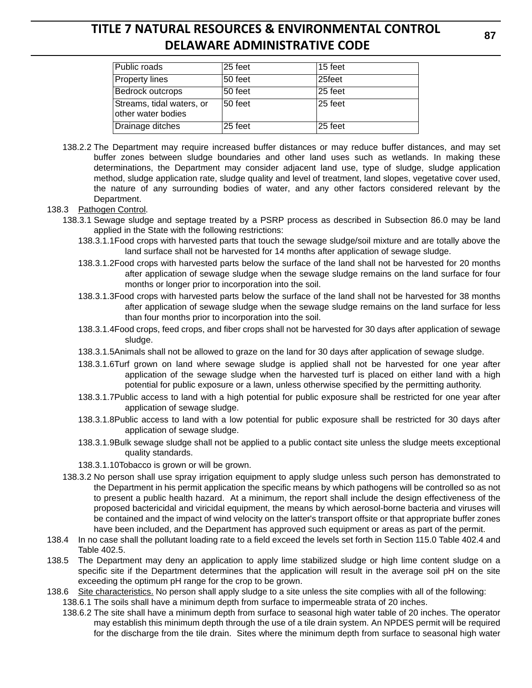| Public roads                                    | 25 feet | 15 feet |
|-------------------------------------------------|---------|---------|
| <b>Property lines</b>                           | 50 feet | 25feet  |
| <b>Bedrock outcrops</b>                         | 50 feet | 25 feet |
| Streams, tidal waters, or<br>other water bodies | 50 feet | 25 feet |
| Drainage ditches                                | 25 feet | 25 feet |

- 138.2.2 The Department may require increased buffer distances or may reduce buffer distances, and may set buffer zones between sludge boundaries and other land uses such as wetlands. In making these determinations, the Department may consider adjacent land use, type of sludge, sludge application method, sludge application rate, sludge quality and level of treatment, land slopes, vegetative cover used, the nature of any surrounding bodies of water, and any other factors considered relevant by the Department.
- 138.3 Pathogen Control.
	- 138.3.1 Sewage sludge and septage treated by a PSRP process as described in Subsection 86.0 may be land applied in the State with the following restrictions:
		- 138.3.1.1Food crops with harvested parts that touch the sewage sludge/soil mixture and are totally above the land surface shall not be harvested for 14 months after application of sewage sludge.
		- 138.3.1.2Food crops with harvested parts below the surface of the land shall not be harvested for 20 months after application of sewage sludge when the sewage sludge remains on the land surface for four months or longer prior to incorporation into the soil.
		- 138.3.1.3Food crops with harvested parts below the surface of the land shall not be harvested for 38 months after application of sewage sludge when the sewage sludge remains on the land surface for less than four months prior to incorporation into the soil.
		- 138.3.1.4Food crops, feed crops, and fiber crops shall not be harvested for 30 days after application of sewage sludge.
		- 138.3.1.5Animals shall not be allowed to graze on the land for 30 days after application of sewage sludge.
		- 138.3.1.6Turf grown on land where sewage sludge is applied shall not be harvested for one year after application of the sewage sludge when the harvested turf is placed on either land with a high potential for public exposure or a lawn, unless otherwise specified by the permitting authority.
		- 138.3.1.7Public access to land with a high potential for public exposure shall be restricted for one year after application of sewage sludge.
		- 138.3.1.8Public access to land with a low potential for public exposure shall be restricted for 30 days after application of sewage sludge.
		- 138.3.1.9Bulk sewage sludge shall not be applied to a public contact site unless the sludge meets exceptional quality standards.
		- 138.3.1.10Tobacco is grown or will be grown.
	- 138.3.2 No person shall use spray irrigation equipment to apply sludge unless such person has demonstrated to the Department in his permit application the specific means by which pathogens will be controlled so as not to present a public health hazard. At a minimum, the report shall include the design effectiveness of the proposed bactericidal and viricidal equipment, the means by which aerosol-borne bacteria and viruses will be contained and the impact of wind velocity on the latter's transport offsite or that appropriate buffer zones have been included, and the Department has approved such equipment or areas as part of the permit.
- 138.4 In no case shall the pollutant loading rate to a field exceed the levels set forth in Section 115.0 Table 402.4 and Table 402.5.
- 138.5 The Department may deny an application to apply lime stabilized sludge or high lime content sludge on a specific site if the Department determines that the application will result in the average soil pH on the site exceeding the optimum pH range for the crop to be grown.
- 138.6 Site characteristics. No person shall apply sludge to a site unless the site complies with all of the following:
	- 138.6.1 The soils shall have a minimum depth from surface to impermeable strata of 20 inches.
	- 138.6.2 The site shall have a minimum depth from surface to seasonal high water table of 20 inches. The operator may establish this minimum depth through the use of a tile drain system. An NPDES permit will be required for the discharge from the tile drain. Sites where the minimum depth from surface to seasonal high water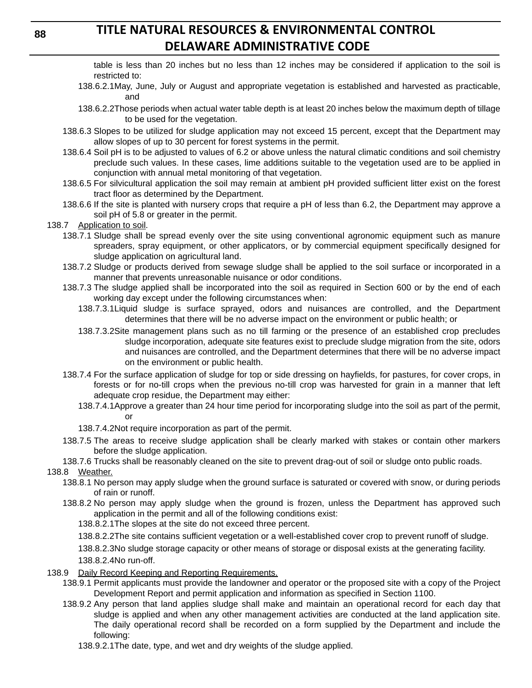table is less than 20 inches but no less than 12 inches may be considered if application to the soil is restricted to:

- 138.6.2.1May, June, July or August and appropriate vegetation is established and harvested as practicable, and
- 138.6.2.2Those periods when actual water table depth is at least 20 inches below the maximum depth of tillage to be used for the vegetation.
- 138.6.3 Slopes to be utilized for sludge application may not exceed 15 percent, except that the Department may allow slopes of up to 30 percent for forest systems in the permit.
- 138.6.4 Soil pH is to be adjusted to values of 6.2 or above unless the natural climatic conditions and soil chemistry preclude such values. In these cases, lime additions suitable to the vegetation used are to be applied in conjunction with annual metal monitoring of that vegetation.
- 138.6.5 For silvicultural application the soil may remain at ambient pH provided sufficient litter exist on the forest tract floor as determined by the Department.
- 138.6.6 If the site is planted with nursery crops that require a pH of less than 6.2, the Department may approve a soil pH of 5.8 or greater in the permit.
- 138.7 Application to soil.
	- 138.7.1 Sludge shall be spread evenly over the site using conventional agronomic equipment such as manure spreaders, spray equipment, or other applicators, or by commercial equipment specifically designed for sludge application on agricultural land.
	- 138.7.2 Sludge or products derived from sewage sludge shall be applied to the soil surface or incorporated in a manner that prevents unreasonable nuisance or odor conditions.
	- 138.7.3 The sludge applied shall be incorporated into the soil as required in Section 600 or by the end of each working day except under the following circumstances when:
		- 138.7.3.1Liquid sludge is surface sprayed, odors and nuisances are controlled, and the Department determines that there will be no adverse impact on the environment or public health; or
		- 138.7.3.2Site management plans such as no till farming or the presence of an established crop precludes sludge incorporation, adequate site features exist to preclude sludge migration from the site, odors and nuisances are controlled, and the Department determines that there will be no adverse impact on the environment or public health.
	- 138.7.4 For the surface application of sludge for top or side dressing on hayfields, for pastures, for cover crops, in forests or for no-till crops when the previous no-till crop was harvested for grain in a manner that left adequate crop residue, the Department may either:
		- 138.7.4.1Approve a greater than 24 hour time period for incorporating sludge into the soil as part of the permit, or
		- 138.7.4.2Not require incorporation as part of the permit.
	- 138.7.5 The areas to receive sludge application shall be clearly marked with stakes or contain other markers before the sludge application.
	- 138.7.6 Trucks shall be reasonably cleaned on the site to prevent drag-out of soil or sludge onto public roads.

### 138.8 Weather.

- 138.8.1 No person may apply sludge when the ground surface is saturated or covered with snow, or during periods of rain or runoff.
- 138.8.2 No person may apply sludge when the ground is frozen, unless the Department has approved such application in the permit and all of the following conditions exist:

138.8.2.1The slopes at the site do not exceed three percent.

138.8.2.2The site contains sufficient vegetation or a well-established cover crop to prevent runoff of sludge.

138.8.2.3No sludge storage capacity or other means of storage or disposal exists at the generating facility.

- 138.8.2.4No run-off.
- 138.9 Daily Record Keeping and Reporting Requirements.
	- 138.9.1 Permit applicants must provide the landowner and operator or the proposed site with a copy of the Project Development Report and permit application and information as specified in Section 1100.
	- 138.9.2 Any person that land applies sludge shall make and maintain an operational record for each day that sludge is applied and when any other management activities are conducted at the land application site. The daily operational record shall be recorded on a form supplied by the Department and include the following:
		- 138.9.2.1The date, type, and wet and dry weights of the sludge applied.

**88**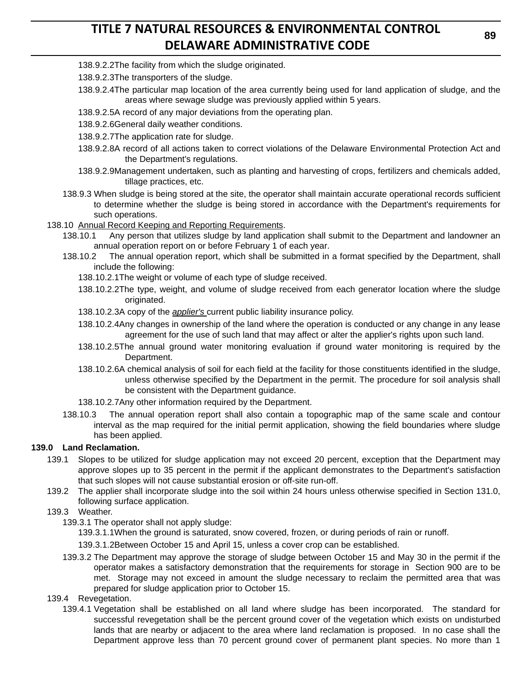- 138.9.2.2The facility from which the sludge originated.
- 138.9.2.3The transporters of the sludge.
- 138.9.2.4The particular map location of the area currently being used for land application of sludge, and the areas where sewage sludge was previously applied within 5 years.
- 138.9.2.5A record of any major deviations from the operating plan.
- 138.9.2.6General daily weather conditions.
- 138.9.2.7The application rate for sludge.
- 138.9.2.8A record of all actions taken to correct violations of the Delaware Environmental Protection Act and the Department's regulations.
- 138.9.2.9Management undertaken, such as planting and harvesting of crops, fertilizers and chemicals added, tillage practices, etc.
- 138.9.3 When sludge is being stored at the site, the operator shall maintain accurate operational records sufficient to determine whether the sludge is being stored in accordance with the Department's requirements for such operations.
- 138.10 Annual Record Keeping and Reporting Requirements.
	- 138.10.1 Any person that utilizes sludge by land application shall submit to the Department and landowner an annual operation report on or before February 1 of each year.
	- 138.10.2 The annual operation report, which shall be submitted in a format specified by the Department, shall include the following:
		- 138.10.2.1The weight or volume of each type of sludge received.
		- 138.10.2.2The type, weight, and volume of sludge received from each generator location where the sludge originated.
		- 138.10.2.3A copy of the *applier's* current public liability insurance policy.
		- 138.10.2.4Any changes in ownership of the land where the operation is conducted or any change in any lease agreement for the use of such land that may affect or alter the applier's rights upon such land.
		- 138.10.2.5The annual ground water monitoring evaluation if ground water monitoring is required by the Department.
		- 138.10.2.6A chemical analysis of soil for each field at the facility for those constituents identified in the sludge, unless otherwise specified by the Department in the permit. The procedure for soil analysis shall be consistent with the Department guidance.
		- 138.10.2.7Any other information required by the Department.
	- 138.10.3 The annual operation report shall also contain a topographic map of the same scale and contour interval as the map required for the initial permit application, showing the field boundaries where sludge has been applied.

### **139.0 Land Reclamation.**

- 139.1 Slopes to be utilized for sludge application may not exceed 20 percent, exception that the Department may approve slopes up to 35 percent in the permit if the applicant demonstrates to the Department's satisfaction that such slopes will not cause substantial erosion or off-site run-off.
- 139.2 The applier shall incorporate sludge into the soil within 24 hours unless otherwise specified in Section 131.0, following surface application.
- 139.3 Weather.
	- 139.3.1 The operator shall not apply sludge:
		- 139.3.1.1When the ground is saturated, snow covered, frozen, or during periods of rain or runoff.
		- 139.3.1.2Between October 15 and April 15, unless a cover crop can be established.
	- 139.3.2 The Department may approve the storage of sludge between October 15 and May 30 in the permit if the operator makes a satisfactory demonstration that the requirements for storage in Section 900 are to be met. Storage may not exceed in amount the sludge necessary to reclaim the permitted area that was prepared for sludge application prior to October 15.
- 139.4 Revegetation.
	- 139.4.1 Vegetation shall be established on all land where sludge has been incorporated. The standard for successful revegetation shall be the percent ground cover of the vegetation which exists on undisturbed lands that are nearby or adjacent to the area where land reclamation is proposed. In no case shall the Department approve less than 70 percent ground cover of permanent plant species. No more than 1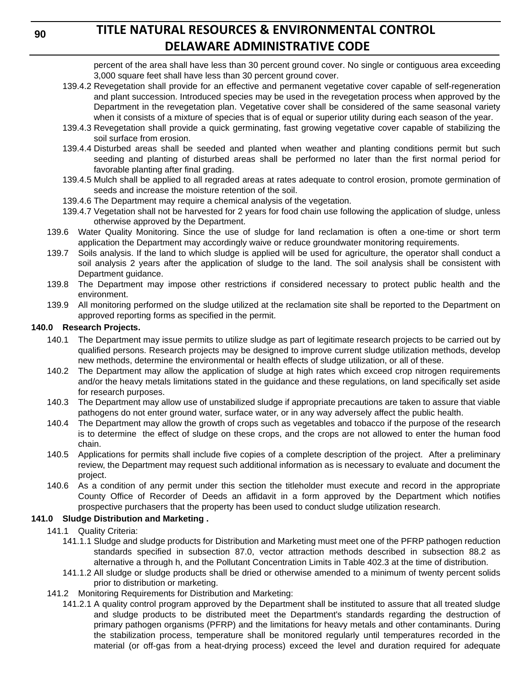percent of the area shall have less than 30 percent ground cover. No single or contiguous area exceeding 3,000 square feet shall have less than 30 percent ground cover.

- 139.4.2 Revegetation shall provide for an effective and permanent vegetative cover capable of self-regeneration and plant succession. Introduced species may be used in the revegetation process when approved by the Department in the revegetation plan. Vegetative cover shall be considered of the same seasonal variety when it consists of a mixture of species that is of equal or superior utility during each season of the year.
- 139.4.3 Revegetation shall provide a quick germinating, fast growing vegetative cover capable of stabilizing the soil surface from erosion.
- 139.4.4 Disturbed areas shall be seeded and planted when weather and planting conditions permit but such seeding and planting of disturbed areas shall be performed no later than the first normal period for favorable planting after final grading.
- 139.4.5 Mulch shall be applied to all regraded areas at rates adequate to control erosion, promote germination of seeds and increase the moisture retention of the soil.
- 139.4.6 The Department may require a chemical analysis of the vegetation.
- 139.4.7 Vegetation shall not be harvested for 2 years for food chain use following the application of sludge, unless otherwise approved by the Department.
- 139.6 Water Quality Monitoring. Since the use of sludge for land reclamation is often a one-time or short term application the Department may accordingly waive or reduce groundwater monitoring requirements.
- 139.7 Soils analysis. If the land to which sludge is applied will be used for agriculture, the operator shall conduct a soil analysis 2 years after the application of sludge to the land. The soil analysis shall be consistent with Department guidance.
- 139.8 The Department may impose other restrictions if considered necessary to protect public health and the environment.
- 139.9 All monitoring performed on the sludge utilized at the reclamation site shall be reported to the Department on approved reporting forms as specified in the permit.

### **140.0 Research Projects.**

- 140.1 The Department may issue permits to utilize sludge as part of legitimate research projects to be carried out by qualified persons. Research projects may be designed to improve current sludge utilization methods, develop new methods, determine the environmental or health effects of sludge utilization, or all of these.
- 140.2 The Department may allow the application of sludge at high rates which exceed crop nitrogen requirements and/or the heavy metals limitations stated in the guidance and these regulations, on land specifically set aside for research purposes.
- 140.3 The Department may allow use of unstabilized sludge if appropriate precautions are taken to assure that viable pathogens do not enter ground water, surface water, or in any way adversely affect the public health.
- 140.4 The Department may allow the growth of crops such as vegetables and tobacco if the purpose of the research is to determine the effect of sludge on these crops, and the crops are not allowed to enter the human food chain.
- 140.5 Applications for permits shall include five copies of a complete description of the project. After a preliminary review, the Department may request such additional information as is necessary to evaluate and document the project.
- 140.6 As a condition of any permit under this section the titleholder must execute and record in the appropriate County Office of Recorder of Deeds an affidavit in a form approved by the Department which notifies prospective purchasers that the property has been used to conduct sludge utilization research.

### **141.0 Sludge Distribution and Marketing .**

- 141.1 Quality Criteria:
	- 141.1.1 Sludge and sludge products for Distribution and Marketing must meet one of the PFRP pathogen reduction standards specified in subsection 87.0, vector attraction methods described in subsection 88.2 as alternative a through h, and the Pollutant Concentration Limits in Table 402.3 at the time of distribution.
	- 141.1.2 All sludge or sludge products shall be dried or otherwise amended to a minimum of twenty percent solids prior to distribution or marketing.
- 141.2 Monitoring Requirements for Distribution and Marketing:
	- 141.2.1 A quality control program approved by the Department shall be instituted to assure that all treated sludge and sludge products to be distributed meet the Department's standards regarding the destruction of primary pathogen organisms (PFRP) and the limitations for heavy metals and other contaminants. During the stabilization process, temperature shall be monitored regularly until temperatures recorded in the material (or off-gas from a heat-drying process) exceed the level and duration required for adequate

**90**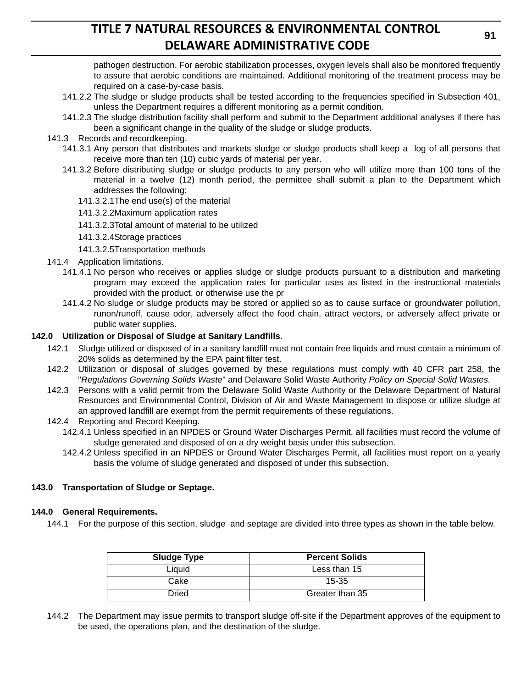pathogen destruction. For aerobic stabilization processes, oxygen levels shall also be monitored frequently to assure that aerobic conditions are maintained. Additional monitoring of the treatment process may be required on a case-by-case basis.

- 141.2.2 The sludge or sludge products shall be tested according to the frequencies specified in Subsection 401, unless the Department requires a different monitoring as a permit condition.
- 141.2.3 The sludge distribution facility shall perform and submit to the Department additional analyses if there has been a significant change in the quality of the sludge or sludge products.
- 141.3 Records and recordkeeping.
	- 141.3.1 Any person that distributes and markets sludge or sludge products shall keep a log of all persons that receive more than ten (10) cubic yards of material per year.
	- 141.3.2 Before distributing sludge or sludge products to any person who will utilize more than 100 tons of the material in a twelve (12) month period, the permittee shall submit a plan to the Department which addresses the following:
		- 141.3.2.1The end use(s) of the material
		- 141.3.2.2Maximum application rates
		- 141.3.2.3Total amount of material to be utilized
		- 141.3.2.4Storage practices
		- 141.3.2.5Transportation methods
- 141.4 Application limitations.
	- 141.4.1 No person who receives or applies sludge or sludge products pursuant to a distribution and marketing program may exceed the application rates for particular uses as listed in the instructional materials provided with the product, or otherwise use the pr
	- 141.4.2 No sludge or sludge products may be stored or applied so as to cause surface or groundwater pollution, runon/runoff, cause odor, adversely affect the food chain, attract vectors, or adversely affect private or public water supplies.

#### **142.0 Utilization or Disposal of Sludge at Sanitary Landfills.**

- 142.1 Sludge utilized or disposed of in a sanitary landfill must not contain free liquids and must contain a minimum of 20% solids as determined by the EPA paint filter test.
- 142.2 Utilization or disposal of sludges governed by these regulations must comply with 40 CFR part 258, the "*Regulations Governing Solids Waste*" and Delaware Solid Waste Authority *Policy on Special Solid Wastes.*
- 142.3 Persons with a valid permit from the Delaware Solid Waste Authority or the Delaware Department of Natural Resources and Environmental Control, Division of Air and Waste Management to dispose or utilize sludge at an approved landfill are exempt from the permit requirements of these regulations.
- 142.4 Reporting and Record Keeping.
	- 142.4.1 Unless specified in an NPDES or Ground Water Discharges Permit, all facilities must record the volume of sludge generated and disposed of on a dry weight basis under this subsection.
	- 142.4.2 Unless specified in an NPDES or Ground Water Discharges Permit, all facilities must report on a yearly basis the volume of sludge generated and disposed of under this subsection.

### **143.0 Transportation of Sludge or Septage.**

#### **144.0 General Requirements.**

144.1 For the purpose of this section, sludge and septage are divided into three types as shown in the table below.

| <b>Sludge Type</b> | <b>Percent Solids</b> |
|--------------------|-----------------------|
| Liauid             | Less than 15          |
| Cake               | $15 - 35$             |
| Dried              | Greater than 35       |

144.2 The Department may issue permits to transport sludge off-site if the Department approves of the equipment to be used, the operations plan, and the destination of the sludge.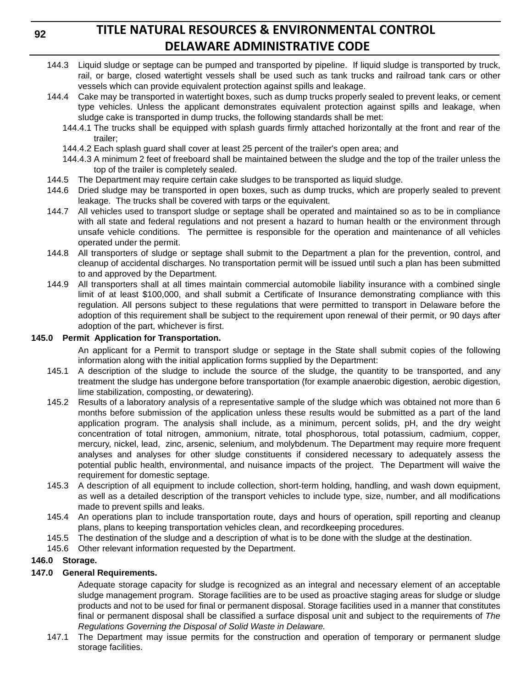**92**

# **TITLE NATURAL RESOURCES & ENVIRONMENTAL CONTROL DELAWARE ADMINISTRATIVE CODE**

- 144.3 Liquid sludge or septage can be pumped and transported by pipeline. If liquid sludge is transported by truck, rail, or barge, closed watertight vessels shall be used such as tank trucks and railroad tank cars or other vessels which can provide equivalent protection against spills and leakage.
- 144.4 Cake may be transported in watertight boxes, such as dump trucks properly sealed to prevent leaks, or cement type vehicles. Unless the applicant demonstrates equivalent protection against spills and leakage, when sludge cake is transported in dump trucks, the following standards shall be met:
	- 144.4.1 The trucks shall be equipped with splash guards firmly attached horizontally at the front and rear of the trailer;
	- 144.4.2 Each splash guard shall cover at least 25 percent of the trailer's open area; and
	- 144.4.3 A minimum 2 feet of freeboard shall be maintained between the sludge and the top of the trailer unless the top of the trailer is completely sealed.
- 144.5 The Department may require certain cake sludges to be transported as liquid sludge.
- 144.6 Dried sludge may be transported in open boxes, such as dump trucks, which are properly sealed to prevent leakage. The trucks shall be covered with tarps or the equivalent.
- 144.7 All vehicles used to transport sludge or septage shall be operated and maintained so as to be in compliance with all state and federal regulations and not present a hazard to human health or the environment through unsafe vehicle conditions. The permittee is responsible for the operation and maintenance of all vehicles operated under the permit.
- 144.8 All transporters of sludge or septage shall submit to the Department a plan for the prevention, control, and cleanup of accidental discharges. No transportation permit will be issued until such a plan has been submitted to and approved by the Department.
- 144.9 All transporters shall at all times maintain commercial automobile liability insurance with a combined single limit of at least \$100,000, and shall submit a Certificate of Insurance demonstrating compliance with this regulation. All persons subject to these regulations that were permitted to transport in Delaware before the adoption of this requirement shall be subject to the requirement upon renewal of their permit, or 90 days after adoption of the part, whichever is first.

### **145.0 Permit Application for Transportation.**

An applicant for a Permit to transport sludge or septage in the State shall submit copies of the following information along with the initial application forms supplied by the Department:

- 145.1 A description of the sludge to include the source of the sludge, the quantity to be transported, and any treatment the sludge has undergone before transportation (for example anaerobic digestion, aerobic digestion, lime stabilization, composting, or dewatering).
- 145.2 Results of a laboratory analysis of a representative sample of the sludge which was obtained not more than 6 months before submission of the application unless these results would be submitted as a part of the land application program. The analysis shall include, as a minimum, percent solids, pH, and the dry weight concentration of total nitrogen, ammonium, nitrate, total phosphorous, total potassium, cadmium, copper, mercury, nickel, lead, zinc, arsenic, selenium, and molybdenum. The Department may require more frequent analyses and analyses for other sludge constituents if considered necessary to adequately assess the potential public health, environmental, and nuisance impacts of the project. The Department will waive the requirement for domestic septage.
- 145.3 A description of all equipment to include collection, short-term holding, handling, and wash down equipment, as well as a detailed description of the transport vehicles to include type, size, number, and all modifications made to prevent spills and leaks.
- 145.4 An operations plan to include transportation route, days and hours of operation, spill reporting and cleanup plans, plans to keeping transportation vehicles clean, and recordkeeping procedures.
- 145.5 The destination of the sludge and a description of what is to be done with the sludge at the destination.
- 145.6 Other relevant information requested by the Department.

## **146.0 Storage.**

## **147.0 General Requirements.**

Adequate storage capacity for sludge is recognized as an integral and necessary element of an acceptable sludge management program. Storage facilities are to be used as proactive staging areas for sludge or sludge products and not to be used for final or permanent disposal. Storage facilities used in a manner that constitutes final or permanent disposal shall be classified a surface disposal unit and subject to the requirements of *The Regulations Governing the Disposal of Solid Waste in Delaware.*

147.1 The Department may issue permits for the construction and operation of temporary or permanent sludge storage facilities.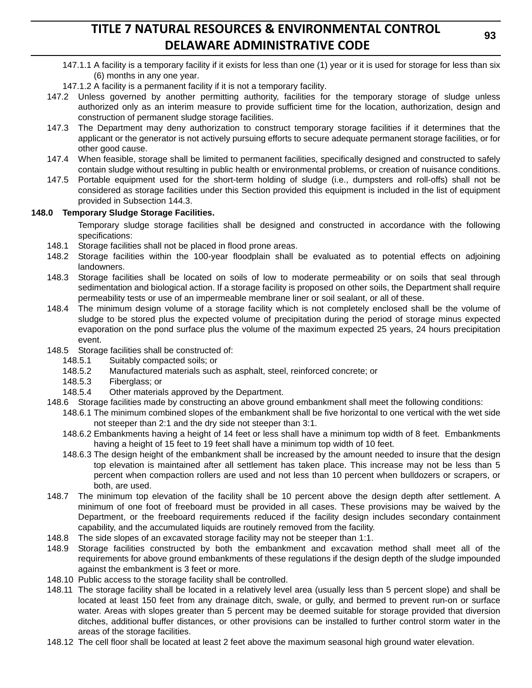- 147.1.1 A facility is a temporary facility if it exists for less than one (1) year or it is used for storage for less than six (6) months in any one year.
- 147.1.2 A facility is a permanent facility if it is not a temporary facility.
- 147.2 Unless governed by another permitting authority, facilities for the temporary storage of sludge unless authorized only as an interim measure to provide sufficient time for the location, authorization, design and construction of permanent sludge storage facilities.
- 147.3 The Department may deny authorization to construct temporary storage facilities if it determines that the applicant or the generator is not actively pursuing efforts to secure adequate permanent storage facilities, or for other good cause.
- 147.4 When feasible, storage shall be limited to permanent facilities, specifically designed and constructed to safely contain sludge without resulting in public health or environmental problems, or creation of nuisance conditions.
- 147.5 Portable equipment used for the short-term holding of sludge (i.e., dumpsters and roll-offs) shall not be considered as storage facilities under this Section provided this equipment is included in the list of equipment provided in Subsection 144.3.

### **148.0 Temporary Sludge Storage Facilities.**

Temporary sludge storage facilities shall be designed and constructed in accordance with the following specifications:

- 148.1 Storage facilities shall not be placed in flood prone areas.
- 148.2 Storage facilities within the 100-year floodplain shall be evaluated as to potential effects on adjoining landowners.
- 148.3 Storage facilities shall be located on soils of low to moderate permeability or on soils that seal through sedimentation and biological action. If a storage facility is proposed on other soils, the Department shall require permeability tests or use of an impermeable membrane liner or soil sealant, or all of these.
- 148.4 The minimum design volume of a storage facility which is not completely enclosed shall be the volume of sludge to be stored plus the expected volume of precipitation during the period of storage minus expected evaporation on the pond surface plus the volume of the maximum expected 25 years, 24 hours precipitation event.
- 148.5 Storage facilities shall be constructed of:
	- 148.5.1 Suitably compacted soils; or
	- 148.5.2 Manufactured materials such as asphalt, steel, reinforced concrete; or
	- 148.5.3 Fiberglass; or
	- 148.5.4 Other materials approved by the Department.
- 148.6 Storage facilities made by constructing an above ground embankment shall meet the following conditions:
	- 148.6.1 The minimum combined slopes of the embankment shall be five horizontal to one vertical with the wet side not steeper than 2:1 and the dry side not steeper than 3:1.
	- 148.6.2 Embankments having a height of 14 feet or less shall have a minimum top width of 8 feet. Embankments having a height of 15 feet to 19 feet shall have a minimum top width of 10 feet.
	- 148.6.3 The design height of the embankment shall be increased by the amount needed to insure that the design top elevation is maintained after all settlement has taken place. This increase may not be less than 5 percent when compaction rollers are used and not less than 10 percent when bulldozers or scrapers, or both, are used.
- 148.7 The minimum top elevation of the facility shall be 10 percent above the design depth after settlement. A minimum of one foot of freeboard must be provided in all cases. These provisions may be waived by the Department, or the freeboard requirements reduced if the facility design includes secondary containment capability, and the accumulated liquids are routinely removed from the facility.
- 148.8 The side slopes of an excavated storage facility may not be steeper than 1:1.
- 148.9 Storage facilities constructed by both the embankment and excavation method shall meet all of the requirements for above ground embankments of these regulations if the design depth of the sludge impounded against the embankment is 3 feet or more.
- 148.10 Public access to the storage facility shall be controlled.
- 148.11 The storage facility shall be located in a relatively level area (usually less than 5 percent slope) and shall be located at least 150 feet from any drainage ditch, swale, or gully, and bermed to prevent run-on or surface water. Areas with slopes greater than 5 percent may be deemed suitable for storage provided that diversion ditches, additional buffer distances, or other provisions can be installed to further control storm water in the areas of the storage facilities.
- 148.12 The cell floor shall be located at least 2 feet above the maximum seasonal high ground water elevation.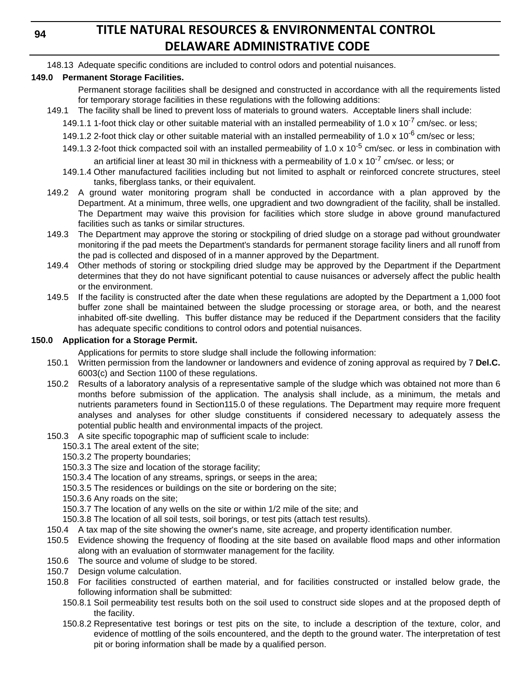**94**

# **TITLE NATURAL RESOURCES & ENVIRONMENTAL CONTROL DELAWARE ADMINISTRATIVE CODE**

148.13 Adequate specific conditions are included to control odors and potential nuisances.

## **149.0 Permanent Storage Facilities.**

Permanent storage facilities shall be designed and constructed in accordance with all the requirements listed for temporary storage facilities in these regulations with the following additions:

- 149.1 The facility shall be lined to prevent loss of materials to ground waters. Acceptable liners shall include:
	- 149.1.1 1-foot thick clay or other suitable material with an installed permeability of 1.0 x 10<sup>-7</sup> cm/sec. or less;
	- 149.1.2 2-foot thick clay or other suitable material with an installed permeability of 1.0 x 10<sup>-6</sup> cm/sec or less;
	- 149.1.3 2-foot thick compacted soil with an installed permeability of 1.0 x  $10^{-5}$  cm/sec. or less in combination with an artificial liner at least 30 mil in thickness with a permeability of 1.0 x 10<sup>-7</sup> cm/sec. or less; or
	- 149.1.4 Other manufactured facilities including but not limited to asphalt or reinforced concrete structures, steel tanks, fiberglass tanks, or their equivalent.
- 149.2 A ground water monitoring program shall be conducted in accordance with a plan approved by the Department. At a minimum, three wells, one upgradient and two downgradient of the facility, shall be installed. The Department may waive this provision for facilities which store sludge in above ground manufactured facilities such as tanks or similar structures.
- 149.3 The Department may approve the storing or stockpiling of dried sludge on a storage pad without groundwater monitoring if the pad meets the Department's standards for permanent storage facility liners and all runoff from the pad is collected and disposed of in a manner approved by the Department.
- 149.4 Other methods of storing or stockpiling dried sludge may be approved by the Department if the Department determines that they do not have significant potential to cause nuisances or adversely affect the public health or the environment.
- 149.5 If the facility is constructed after the date when these regulations are adopted by the Department a 1,000 foot buffer zone shall be maintained between the sludge processing or storage area, or both, and the nearest inhabited off-site dwelling. This buffer distance may be reduced if the Department considers that the facility has adequate specific conditions to control odors and potential nuisances.

### **150.0 Application for a Storage Permit.**

Applications for permits to store sludge shall include the following information:

- 150.1 Written permission from the landowner or landowners and evidence of zoning approval as required by 7 **Del.C.** 6003(c) and Section 1100 of these regulations.
- 150.2 Results of a laboratory analysis of a representative sample of the sludge which was obtained not more than 6 months before submission of the application. The analysis shall include, as a minimum, the metals and nutrients parameters found in Section115.0 of these regulations. The Department may require more frequent analyses and analyses for other sludge constituents if considered necessary to adequately assess the potential public health and environmental impacts of the project.
- 150.3 A site specific topographic map of sufficient scale to include:
	- 150.3.1 The areal extent of the site;
	- 150.3.2 The property boundaries;
	- 150.3.3 The size and location of the storage facility;
	- 150.3.4 The location of any streams, springs, or seeps in the area;
	- 150.3.5 The residences or buildings on the site or bordering on the site;
	- 150.3.6 Any roads on the site;
	- 150.3.7 The location of any wells on the site or within 1/2 mile of the site; and
	- 150.3.8 The location of all soil tests, soil borings, or test pits (attach test results).
- 150.4 A tax map of the site showing the owner's name, site acreage, and property identification number.
- 150.5 Evidence showing the frequency of flooding at the site based on available flood maps and other information along with an evaluation of stormwater management for the facility.
- 150.6 The source and volume of sludge to be stored.
- 150.7 Design volume calculation.
- 150.8 For facilities constructed of earthen material, and for facilities constructed or installed below grade, the following information shall be submitted:
	- 150.8.1 Soil permeability test results both on the soil used to construct side slopes and at the proposed depth of the facility.
	- 150.8.2 Representative test borings or test pits on the site, to include a description of the texture, color, and evidence of mottling of the soils encountered, and the depth to the ground water. The interpretation of test pit or boring information shall be made by a qualified person.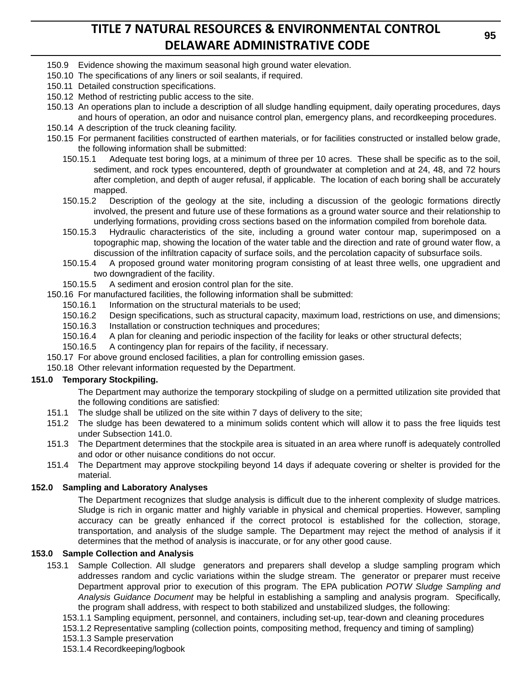- 150.9 Evidence showing the maximum seasonal high ground water elevation.
- 150.10 The specifications of any liners or soil sealants, if required.
- 150.11 Detailed construction specifications.
- 150.12 Method of restricting public access to the site.
- 150.13 An operations plan to include a description of all sludge handling equipment, daily operating procedures, days and hours of operation, an odor and nuisance control plan, emergency plans, and recordkeeping procedures.
- 150.14 A description of the truck cleaning facility.
- 150.15 For permanent facilities constructed of earthen materials, or for facilities constructed or installed below grade, the following information shall be submitted:
	- 150.15.1 Adequate test boring logs, at a minimum of three per 10 acres. These shall be specific as to the soil, sediment, and rock types encountered, depth of groundwater at completion and at 24, 48, and 72 hours after completion, and depth of auger refusal, if applicable. The location of each boring shall be accurately mapped.
	- 150.15.2 Description of the geology at the site, including a discussion of the geologic formations directly involved, the present and future use of these formations as a ground water source and their relationship to underlying formations, providing cross sections based on the information compiled from borehole data.
	- 150.15.3 Hydraulic characteristics of the site, including a ground water contour map, superimposed on a topographic map, showing the location of the water table and the direction and rate of ground water flow, a discussion of the infiltration capacity of surface soils, and the percolation capacity of subsurface soils.
	- 150.15.4 A proposed ground water monitoring program consisting of at least three wells, one upgradient and two downgradient of the facility.
	- 150.15.5 A sediment and erosion control plan for the site.
- 150.16 For manufactured facilities, the following information shall be submitted:
	- 150.16.1 Information on the structural materials to be used;
	- 150.16.2 Design specifications, such as structural capacity, maximum load, restrictions on use, and dimensions;
	- 150.16.3 Installation or construction techniques and procedures;
	- 150.16.4 A plan for cleaning and periodic inspection of the facility for leaks or other structural defects;
	- 150.16.5 A contingency plan for repairs of the facility, if necessary.
- 150.17 For above ground enclosed facilities, a plan for controlling emission gases.
- 150.18 Other relevant information requested by the Department.

### **151.0 Temporary Stockpiling.**

The Department may authorize the temporary stockpiling of sludge on a permitted utilization site provided that the following conditions are satisfied:

- 151.1 The sludge shall be utilized on the site within 7 days of delivery to the site;
- 151.2 The sludge has been dewatered to a minimum solids content which will allow it to pass the free liquids test under Subsection 141.0.
- 151.3 The Department determines that the stockpile area is situated in an area where runoff is adequately controlled and odor or other nuisance conditions do not occur.
- 151.4 The Department may approve stockpiling beyond 14 days if adequate covering or shelter is provided for the material.

### **152.0 Sampling and Laboratory Analyses**

The Department recognizes that sludge analysis is difficult due to the inherent complexity of sludge matrices. Sludge is rich in organic matter and highly variable in physical and chemical properties. However, sampling accuracy can be greatly enhanced if the correct protocol is established for the collection, storage, transportation, and analysis of the sludge sample. The Department may reject the method of analysis if it determines that the method of analysis is inaccurate, or for any other good cause.

#### **153.0 Sample Collection and Analysis**

- 153.1 Sample Collection. All sludge generators and preparers shall develop a sludge sampling program which addresses random and cyclic variations within the sludge stream. The generator or preparer must receive Department approval prior to execution of this program. The EPA publication *POTW Sludge Sampling and Analysis Guidance Document* may be helpful in establishing a sampling and analysis program. Specifically, the program shall address, with respect to both stabilized and unstabilized sludges, the following:
	- 153.1.1 Sampling equipment, personnel, and containers, including set-up, tear-down and cleaning procedures
	- 153.1.2 Representative sampling (collection points, compositing method, frequency and timing of sampling)
	- 153.1.3 Sample preservation
	- 153.1.4 Recordkeeping/logbook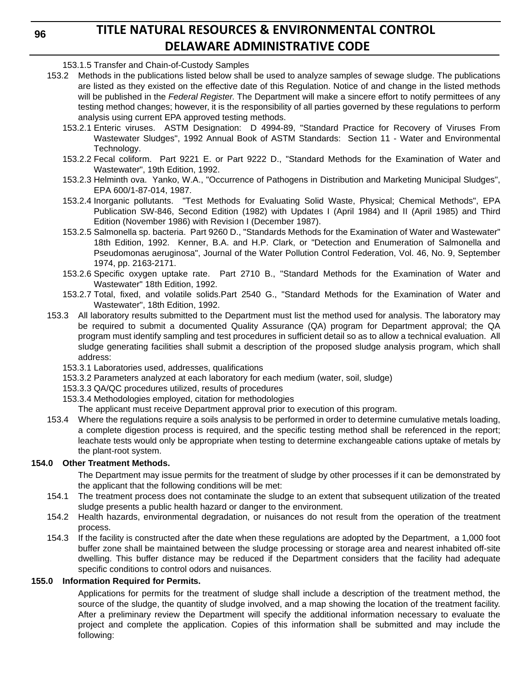**96**

# **TITLE NATURAL RESOURCES & ENVIRONMENTAL CONTROL DELAWARE ADMINISTRATIVE CODE**

153.1.5 Transfer and Chain-of-Custody Samples

- 153.2 Methods in the publications listed below shall be used to analyze samples of sewage sludge. The publications are listed as they existed on the effective date of this Regulation. Notice of and change in the listed methods will be published in the *Federal Register*. The Department will make a sincere effort to notify permittees of any testing method changes; however, it is the responsibility of all parties governed by these regulations to perform analysis using current EPA approved testing methods.
	- 153.2.1 Enteric viruses. ASTM Designation: D 4994-89, "Standard Practice for Recovery of Viruses From Wastewater Sludges", 1992 Annual Book of ASTM Standards: Section 11 - Water and Environmental Technology.
	- 153.2.2 Fecal coliform. Part 9221 E. or Part 9222 D., "Standard Methods for the Examination of Water and Wastewater", 19th Edition, 1992.
	- 153.2.3 Helminth ova. Yanko, W.A., "Occurrence of Pathogens in Distribution and Marketing Municipal Sludges", EPA 600/1-87-014, 1987.
	- 153.2.4 Inorganic pollutants. "Test Methods for Evaluating Solid Waste, Physical; Chemical Methods", EPA Publication SW-846, Second Edition (1982) with Updates I (April 1984) and II (April 1985) and Third Edition (November 1986) with Revision I (December 1987).
	- 153.2.5 Salmonella sp. bacteria. Part 9260 D., "Standards Methods for the Examination of Water and Wastewater" 18th Edition, 1992. Kenner, B.A. and H.P. Clark, or "Detection and Enumeration of Salmonella and Pseudomonas aeruginosa", Journal of the Water Pollution Control Federation, Vol. 46, No. 9, September 1974, pp. 2163-2171.
	- 153.2.6 Specific oxygen uptake rate. Part 2710 B., "Standard Methods for the Examination of Water and Wastewater" 18th Edition, 1992.
	- 153.2.7 Total, fixed, and volatile solids.Part 2540 G., "Standard Methods for the Examination of Water and Wastewater", 18th Edition, 1992.
- 153.3 All laboratory results submitted to the Department must list the method used for analysis. The laboratory may be required to submit a documented Quality Assurance (QA) program for Department approval; the QA program must identify sampling and test procedures in sufficient detail so as to allow a technical evaluation. All sludge generating facilities shall submit a description of the proposed sludge analysis program, which shall address:
	- 153.3.1 Laboratories used, addresses, qualifications
	- 153.3.2 Parameters analyzed at each laboratory for each medium (water, soil, sludge)
	- 153.3.3 QA/QC procedures utilized, results of procedures
	- 153.3.4 Methodologies employed, citation for methodologies
		- The applicant must receive Department approval prior to execution of this program.
- 153.4 Where the regulations require a soils analysis to be performed in order to determine cumulative metals loading, a complete digestion process is required, and the specific testing method shall be referenced in the report; leachate tests would only be appropriate when testing to determine exchangeable cations uptake of metals by the plant-root system.

## **154.0 Other Treatment Methods.**

The Department may issue permits for the treatment of sludge by other processes if it can be demonstrated by the applicant that the following conditions will be met:

- 154.1 The treatment process does not contaminate the sludge to an extent that subsequent utilization of the treated sludge presents a public health hazard or danger to the environment.
- 154.2 Health hazards, environmental degradation, or nuisances do not result from the operation of the treatment process.
- 154.3 If the facility is constructed after the date when these regulations are adopted by the Department, a 1,000 foot buffer zone shall be maintained between the sludge processing or storage area and nearest inhabited off-site dwelling. This buffer distance may be reduced if the Department considers that the facility had adequate specific conditions to control odors and nuisances.

## **155.0 Information Required for Permits.**

Applications for permits for the treatment of sludge shall include a description of the treatment method, the source of the sludge, the quantity of sludge involved, and a map showing the location of the treatment facility. After a preliminary review the Department will specify the additional information necessary to evaluate the project and complete the application. Copies of this information shall be submitted and may include the following: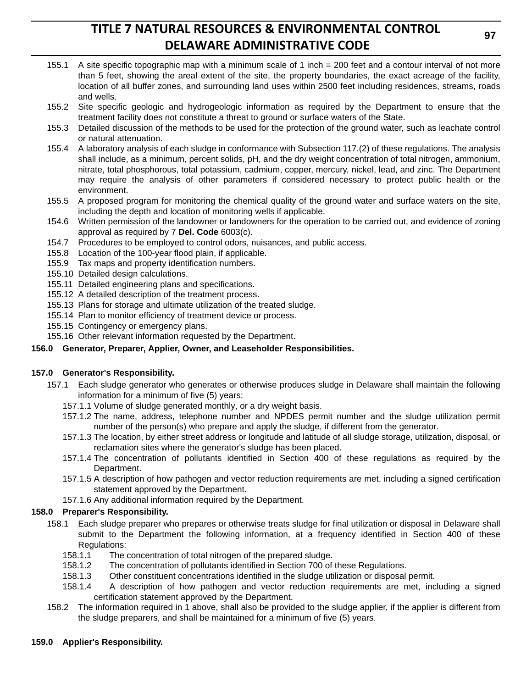- 155.1 A site specific topographic map with a minimum scale of 1 inch = 200 feet and a contour interval of not more than 5 feet, showing the areal extent of the site, the property boundaries, the exact acreage of the facility, location of all buffer zones, and surrounding land uses within 2500 feet including residences, streams, roads and wells.
- 155.2 Site specific geologic and hydrogeologic information as required by the Department to ensure that the treatment facility does not constitute a threat to ground or surface waters of the State.
- 155.3 Detailed discussion of the methods to be used for the protection of the ground water, such as leachate control or natural attenuation.
- 155.4 A laboratory analysis of each sludge in conformance with Subsection 117.(2) of these regulations. The analysis shall include, as a minimum, percent solids, pH, and the dry weight concentration of total nitrogen, ammonium, nitrate, total phosphorous, total potassium, cadmium, copper, mercury, nickel, lead, and zinc. The Department may require the analysis of other parameters if considered necessary to protect public health or the environment.
- 155.5 A proposed program for monitoring the chemical quality of the ground water and surface waters on the site, including the depth and location of monitoring wells if applicable.
- 154.6 Written permission of the landowner or landowners for the operation to be carried out, and evidence of zoning approval as required by 7 **Del. Code** 6003(c).
- 154.7 Procedures to be employed to control odors, nuisances, and public access.
- 155.8 Location of the 100-year flood plain, if applicable.
- 155.9 Tax maps and property identification numbers.
- 155.10 Detailed design calculations.
- 155.11 Detailed engineering plans and specifications.
- 155.12 A detailed description of the treatment process.
- 155.13 Plans for storage and ultimate utilization of the treated sludge.
- 155.14 Plan to monitor efficiency of treatment device or process.
- 155.15 Contingency or emergency plans.
- 155.16 Other relevant information requested by the Department.

## **156.0 Generator, Preparer, Applier, Owner, and Leaseholder Responsibilities.**

### **157.0 Generator's Responsibility.**

- 157.1 Each sludge generator who generates or otherwise produces sludge in Delaware shall maintain the following information for a minimum of five (5) years:
	- 157.1.1 Volume of sludge generated monthly, or a dry weight basis.
	- 157.1.2 The name, address, telephone number and NPDES permit number and the sludge utilization permit number of the person(s) who prepare and apply the sludge, if different from the generator.
	- 157.1.3 The location, by either street address or longitude and latitude of all sludge storage, utilization, disposal, or reclamation sites where the generator's sludge has been placed.
	- 157.1.4 The concentration of pollutants identified in Section 400 of these regulations as required by the Department.
	- 157.1.5 A description of how pathogen and vector reduction requirements are met, including a signed certification statement approved by the Department.
	- 157.1.6 Any additional information required by the Department.

## **158.0 Preparer's Responsibility.**

- 158.1 Each sludge preparer who prepares or otherwise treats sludge for final utilization or disposal in Delaware shall submit to the Department the following information, at a frequency identified in Section 400 of these Regulations:
	- 158.1.1 The concentration of total nitrogen of the prepared sludge.
	- 158.1.2 The concentration of pollutants identified in Section 700 of these Regulations.
	- 158.1.3 Other constituent concentrations identified in the sludge utilization or disposal permit.
	- 158.1.4 A description of how pathogen and vector reduction requirements are met, including a signed certification statement approved by the Department.
- 158.2 The information required in 1 above, shall also be provided to the sludge applier, if the applier is different from the sludge preparers, and shall be maintained for a minimum of five (5) years.

## **159.0 Applier's Responsibility.**